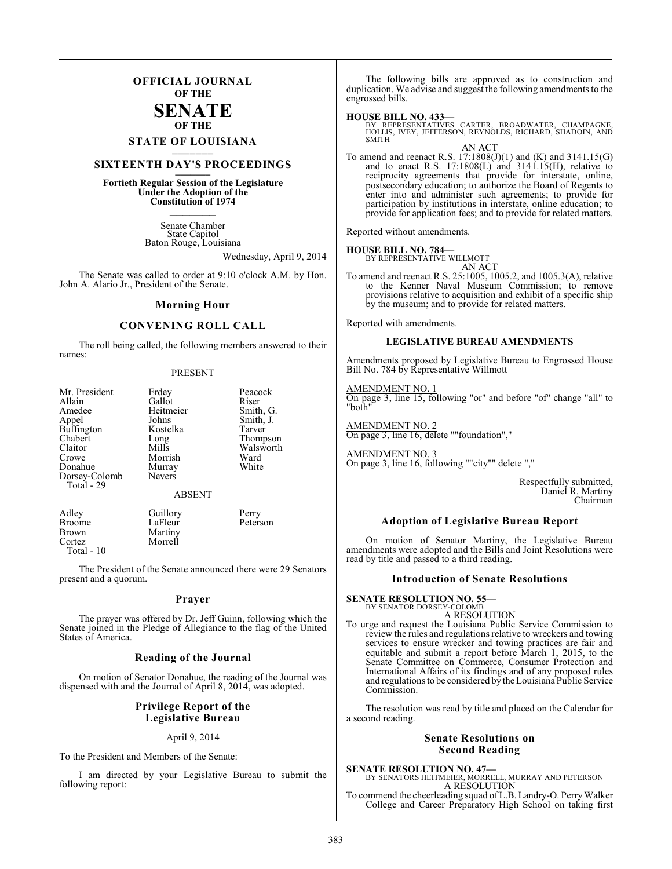### **OFFICIAL JOURNAL OF THE**

### **SENATE OF THE**

# **STATE OF LOUISIANA \_\_\_\_\_\_\_**

### **SIXTEENTH DAY'S PROCEEDINGS \_\_\_\_\_\_\_**

**Fortieth Regular Session of the Legislature Under the Adoption of the Constitution of 1974 \_\_\_\_\_\_\_**

> Senate Chamber State Capitol Baton Rouge, Louisiana

> > Wednesday, April 9, 2014

The Senate was called to order at 9:10 o'clock A.M. by Hon. John A. Alario Jr., President of the Senate.

#### **Morning Hour**

### **CONVENING ROLL CALL**

The roll being called, the following members answered to their names:

#### PRESENT

| Erdey               | Peacock<br>Riser                                       |
|---------------------|--------------------------------------------------------|
| Heitmeier           | Smith, G.                                              |
| Johns               | Smith, J.                                              |
|                     | Tarver                                                 |
| Mills               | Thompson<br>Walsworth                                  |
| Morrish             | Ward                                                   |
| Murray              | White                                                  |
|                     |                                                        |
| <b>ABSENT</b>       |                                                        |
| Guillory<br>LaFleur | Perry<br>Peterson                                      |
|                     | Gallot<br>Kostelka<br>Long<br><b>Nevers</b><br>Martiny |

The President of the Senate announced there were 29 Senators present and a quorum.

#### **Prayer**

The prayer was offered by Dr. Jeff Guinn, following which the Senate joined in the Pledge of Allegiance to the flag of the United States of America.

#### **Reading of the Journal**

On motion of Senator Donahue, the reading of the Journal was dispensed with and the Journal of April 8, 2014, was adopted.

#### **Privilege Report of the Legislative Bureau**

#### April 9, 2014

To the President and Members of the Senate:

Cortez Morrell

Total - 10

I am directed by your Legislative Bureau to submit the following report:

The following bills are approved as to construction and duplication. We advise and suggest the following amendments to the engrossed bills.

**HOUSE BILL NO. 433—** BY REPRESENTATIVES CARTER, BROADWATER, CHAMPAGNE, HOLLIS, IVEY, JEFFERSON, REYNOLDS, RICHARD, SHADOIN, AND SMITH AN ACT

To amend and reenact R.S. 17:1808(J)(1) and (K) and 3141.15(G) and to enact R.S. 17:1808(L) and 3141.15(H), relative to reciprocity agreements that provide for interstate, online, postsecondary education; to authorize the Board of Regents to enter into and administer such agreements; to provide for participation by institutions in interstate, online education; to provide for application fees; and to provide for related matters.

Reported without amendments.

# **HOUSE BILL NO. 784—** BY REPRESENTATIVE WILLMOTT

AN ACT

To amend and reenact R.S. 25:1005, 1005.2, and 1005.3(A), relative to the Kenner Naval Museum Commission; to remove provisions relative to acquisition and exhibit of a specific ship by the museum; and to provide for related matters.

Reported with amendments.

#### **LEGISLATIVE BUREAU AMENDMENTS**

Amendments proposed by Legislative Bureau to Engrossed House Bill No. 784 by Representative Willmott

#### AMENDMENT NO. 1

On page 3, line 15, following "or" and before "of" change "all" to "both"

AMENDMENT NO. 2 On page 3, line 16, delete ""foundation","

AMENDMENT NO. 3 On page 3, line 16, following ""city"" delete ","

> Respectfully submitted, Daniel R. Martiny Chairman

#### **Adoption of Legislative Bureau Report**

On motion of Senator Martiny, the Legislative Bureau amendments were adopted and the Bills and Joint Resolutions were read by title and passed to a third reading.

#### **Introduction of Senate Resolutions**

**SENATE RESOLUTION NO. 55—** BY SENATOR DORSEY-COLOMB

A RESOLUTION

To urge and request the Louisiana Public Service Commission to review the rules and regulations relative to wreckers and towing services to ensure wrecker and towing practices are fair and equitable and submit a report before March 1, 2015, to the Senate Committee on Commerce, Consumer Protection and International Affairs of its findings and of any proposed rules and regulations to be considered by the Louisiana Public Service Commission.

The resolution was read by title and placed on the Calendar for a second reading.

#### **Senate Resolutions on Second Reading**

**SENATE RESOLUTION NO. 47—**<br>BY SENATORS HEITMEIER, MORRELL, MURRAY AND PETERSON<br>A RESOLUTION To commend the cheerleading squad of L.B. Landry-O. Perry Walker

College and Career Preparatory High School on taking first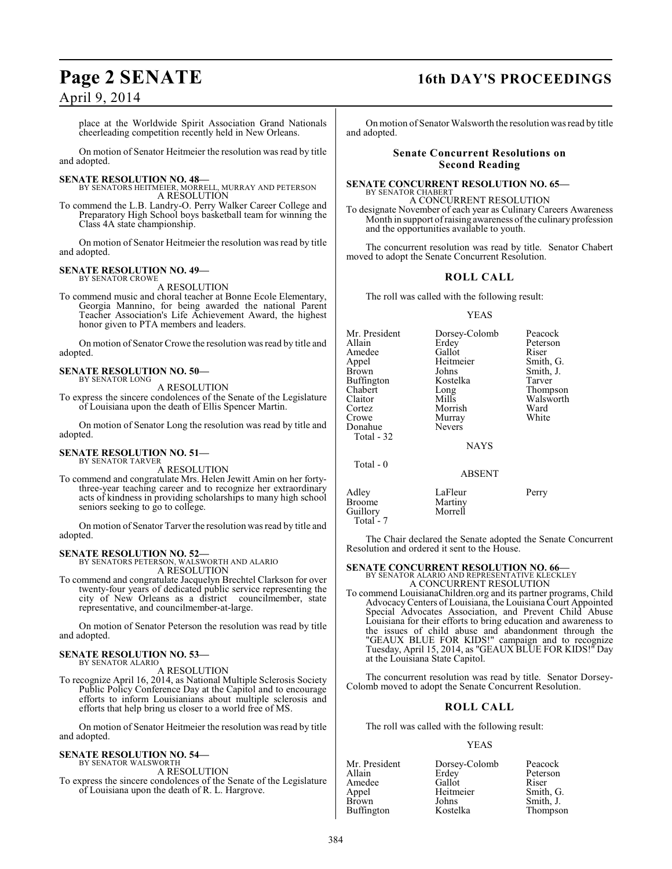### April 9, 2014

place at the Worldwide Spirit Association Grand Nationals cheerleading competition recently held in New Orleans.

On motion of Senator Heitmeier the resolution was read by title and adopted.

#### **SENATE RESOLUTION NO. 48—**

BY SENATORS HEITMEIER, MORRELL, MURRAY AND PETERSON A RESOLUTION

To commend the L.B. Landry-O. Perry Walker Career College and Preparatory High School boys basketball team for winning the Class 4A state championship.

On motion of Senator Heitmeier the resolution was read by title and adopted.

### **SENATE RESOLUTION NO. 49—**

BY SENATOR CROWE A RESOLUTION

To commend music and choral teacher at Bonne Ecole Elementary, Georgia Mannino, for being awarded the national Parent Teacher Association's Life Achievement Award, the highest honor given to PTA members and leaders.

On motion of Senator Crowe the resolution was read by title and adopted.

#### **SENATE RESOLUTION NO. 50—** BY SENATOR LONG

A RESOLUTION

To express the sincere condolences of the Senate of the Legislature of Louisiana upon the death of Ellis Spencer Martin.

On motion of Senator Long the resolution was read by title and adopted.

#### **SENATE RESOLUTION NO. 51—** BY SENATOR TARVER

A RESOLUTION

To commend and congratulate Mrs. Helen Jewitt Amin on her fortythree-year teaching career and to recognize her extraordinary acts of kindness in providing scholarships to many high school seniors seeking to go to college.

On motion of Senator Tarver the resolution was read by title and adopted.

**SENATE RESOLUTION NO. 52—** BY SENATORS PETERSON, WALSWORTH AND ALARIO A RESOLUTION

To commend and congratulate Jacquelyn Brechtel Clarkson for over twenty-four years of dedicated public service representing the city of New Orleans as a district councilmember, state representative, and councilmember-at-large.

On motion of Senator Peterson the resolution was read by title and adopted.

#### **SENATE RESOLUTION NO. 53—** BY SENATOR ALARIO

A RESOLUTION

To recognize April 16, 2014, as National Multiple Sclerosis Society Public Policy Conference Day at the Capitol and to encourage efforts to inform Louisianians about multiple sclerosis and efforts that help bring us closer to a world free of MS.

On motion of Senator Heitmeier the resolution was read by title and adopted.

#### **SENATE RESOLUTION NO. 54—** BY SENATOR WALSWORTH

A RESOLUTION

To express the sincere condolences of the Senate of the Legislature of Louisiana upon the death of R. L. Hargrove.

# **Page 2 SENATE 16th DAY'S PROCEEDINGS**

On motion of Senator Walsworth the resolution was read by title and adopted.

#### **Senate Concurrent Resolutions on Second Reading**

#### **SENATE CONCURRENT RESOLUTION NO. 65—**

BY SENATOR CHABERT A CONCURRENT RESOLUTION

To designate November of each year as Culinary Careers Awareness Month in support of raising awareness of the culinary profession and the opportunities available to youth.

The concurrent resolution was read by title. Senator Chabert moved to adopt the Senate Concurrent Resolution.

### **ROLL CALL**

The roll was called with the following result:

#### YEAS

| Mr. President<br>Allain<br>Amedee<br>Appel<br>Brown<br>Buffington<br>Chabert<br>Claitor<br>Cortez<br>Crowe<br>Donahue<br>Total - 32 | Dorsey-Colomb<br>Erdev<br>Gallot<br>Heitmeier<br>Johns<br>Kostelka<br>Long<br>Mills<br>Morrish<br>Murray<br><b>Nevers</b><br><b>NAYS</b> | Peacock<br>Peterson<br>Riser<br>Smith, G.<br>Smith, J.<br>Tarver<br>Thompson<br>Walsworth<br>Ward<br>White |
|-------------------------------------------------------------------------------------------------------------------------------------|------------------------------------------------------------------------------------------------------------------------------------------|------------------------------------------------------------------------------------------------------------|
| Total - 0                                                                                                                           | <b>ABSENT</b>                                                                                                                            |                                                                                                            |
| Adley                                                                                                                               | LaFleur                                                                                                                                  | Perry                                                                                                      |

The Chair declared the Senate adopted the Senate Concurrent Resolution and ordered it sent to the House.

#### **SENATE CONCURRENT RESOLUTION NO. 66—**

Broome Martiny<br>Guillory Morrell

Guillory Total - 7

BY SENATOR ALARIO AND REPRESENTATIVE KLECKLEY A CONCURRENT RESOLUTION

To commend LouisianaChildren.org and its partner programs, Child Advocacy Centers of Louisiana, the Louisiana Court Appointed Special Advocates Association, and Prevent Child Abuse Louisiana for their efforts to bring education and awareness to the issues of child abuse and abandonment through the "GEAUX BLUE FOR KIDS!" campaign and to recognize Tuesday, April 15, 2014, as "GEAUX BLUE FOR KIDS!" Day at the Louisiana State Capitol.

The concurrent resolution was read by title. Senator Dorsey-Colomb moved to adopt the Senate Concurrent Resolution.

### **ROLL CALL**

The roll was called with the following result:

| Mr. President     | Dorsey-Colomb | Peacock   |
|-------------------|---------------|-----------|
| Allain            | Erdey         | Peterson  |
| Amedee            | Gallot        | Riser     |
| Appel             | Heitmeier     | Smith, G. |
| Brown             | Johns         | Smith, J. |
| <b>Buffington</b> | Kostelka      | Thompson  |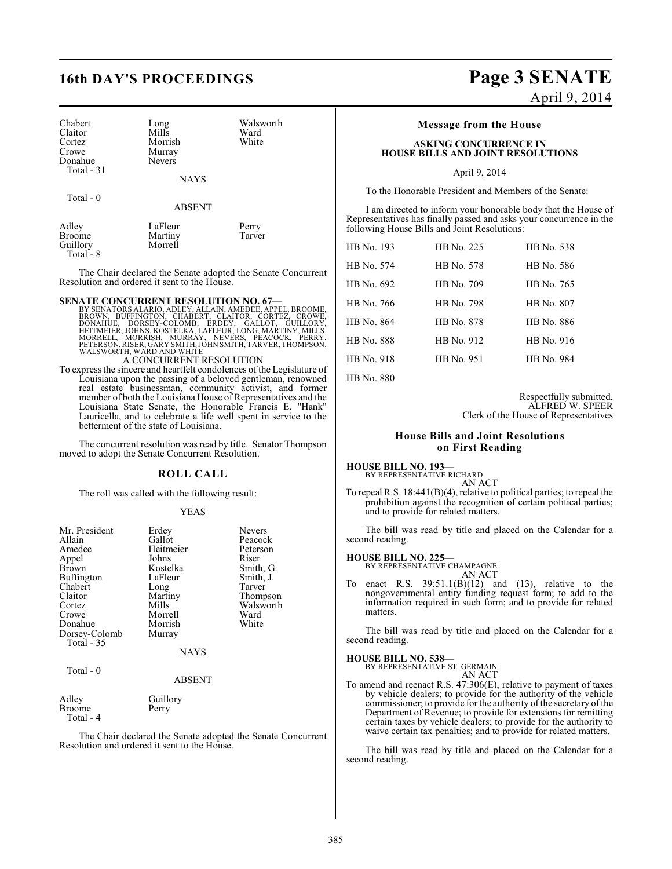# **16th DAY'S PROCEEDINGS Page 3 SENATE**

| Chabert<br>Claitor<br>Cortez<br>Crowe<br>Donahue<br>Total - 31 | Long<br>Mills<br>Morrish<br>Murray<br><b>Nevers</b><br><b>NAYS</b> | Walsworth<br>Ward<br>White |
|----------------------------------------------------------------|--------------------------------------------------------------------|----------------------------|
| Total - $0$                                                    | <b>ABSENT</b>                                                      |                            |
| Adley<br><b>Broome</b><br>Guillory                             | LaFleur<br>Martiny<br>Morrell                                      | Perry<br>Tarver            |

The Chair declared the Senate adopted the Senate Concurrent Resolution and ordered it sent to the House.

#### **SENATE CONCURRENT RESOLUTION NO. 67—**

Guillory Total - 8

Total - 4

- BY SENATORS ALARIO, ADLEY, ALLAIN, AMEDEE, APPEL, BROOME,<br>BROWN, BUFFINGTON, CHABERT, CLAITOR, CORTEZ, CROWE,<br>DONAHUE, DORSEY-COLOMB, ERDEY, GALLOT, GUILLORY,<br>HEITMEIER, JOHNS, KOSTELKA, LAFLEUR, LONG, MARTINY, MILLS,<br>MORR WALSWORTH, WARD AND WHITE A CONCURRENT RESOLUTION
- To expressthe sincere and heartfelt condolences of the Legislature of Louisiana upon the passing of a beloved gentleman, renowned real estate businessman, community activist, and former member of both the Louisiana House of Representatives and the Louisiana State Senate, the Honorable Francis E. "Hank" Lauricella, and to celebrate a life well spent in service to the betterment of the state of Louisiana.

The concurrent resolution was read by title. Senator Thompson moved to adopt the Senate Concurrent Resolution.

#### **ROLL CALL**

The roll was called with the following result:

#### YEAS

| Mr. President<br>Allain<br>Amedee<br>Appel<br>Brown<br>Buffington<br>Chabert<br>Claitor<br>Cortez<br>Crowe<br>Donahue<br>Dorsey-Colomb<br><b>Total - 35</b> | Erdey<br>Gallot<br>Heitmeier<br>Johns<br>Kostelka<br>LaFleur<br>Long<br>Martiny<br>Mills<br>Morrell<br>Morrish<br>Murray<br><b>NAYS</b> | Nevers<br>Peacock<br>Peterson<br>Riser<br>Smith, G.<br>Smith, J.<br>Tarver<br>Thompson<br>Walsworth<br>Ward<br>White |
|-------------------------------------------------------------------------------------------------------------------------------------------------------------|-----------------------------------------------------------------------------------------------------------------------------------------|----------------------------------------------------------------------------------------------------------------------|
| Total $-0$                                                                                                                                                  | <b>ABSENT</b>                                                                                                                           |                                                                                                                      |
| Adley<br>Broome                                                                                                                                             | Guillory<br>Perry                                                                                                                       |                                                                                                                      |

The Chair declared the Senate adopted the Senate Concurrent Resolution and ordered it sent to the House.

# April 9, 2014

#### **Message from the House**

#### **ASKING CONCURRENCE IN HOUSE BILLS AND JOINT RESOLUTIONS**

#### April 9, 2014

To the Honorable President and Members of the Senate:

I am directed to inform your honorable body that the House of Representatives has finally passed and asks your concurrence in the following House Bills and Joint Resolutions:

| HB No. 193        | HB No. 225 | HB No. 538 |
|-------------------|------------|------------|
| HB No. 574        | HB No. 578 | HB No. 586 |
| HB No. 692        | HB No. 709 | HB No. 765 |
| HB No. 766        | HB No. 798 | HB No. 807 |
| HB No. 864        | HB No. 878 | HB No. 886 |
| <b>HB</b> No. 888 | HB No. 912 | HB No. 916 |
| HB No. 918        | HR No. 951 | HB No. 984 |
| <b>HB</b> No. 880 |            |            |

Respectfully submitted, ALFRED W. SPEER Clerk of the House of Representatives

#### **House Bills and Joint Resolutions on First Reading**

#### **HOUSE BILL NO. 193—** BY REPRESENTATIVE RICHARD

AN ACT

To repeal R.S. 18:441(B)(4), relative to political parties; to repeal the prohibition against the recognition of certain political parties; and to provide for related matters.

The bill was read by title and placed on the Calendar for a second reading.

#### **HOUSE BILL NO. 225—**

BY REPRESENTATIVE CHAMPAGNE AN ACT

To enact R.S.  $39:51.1(B)(12)$  and  $(13)$ , relative to the nongovernmental entity funding request form; to add to the information required in such form; and to provide for related matters.

The bill was read by title and placed on the Calendar for a second reading.

**HOUSE BILL NO. 538—** BY REPRESENTATIVE ST. GERMAIN AN ACT

To amend and reenact R.S. 47:306(E), relative to payment of taxes by vehicle dealers; to provide for the authority of the vehicle commissioner; to provide for the authority of the secretary of the Department of Revenue; to provide for extensions for remitting certain taxes by vehicle dealers; to provide for the authority to waive certain tax penalties; and to provide for related matters.

The bill was read by title and placed on the Calendar for a second reading.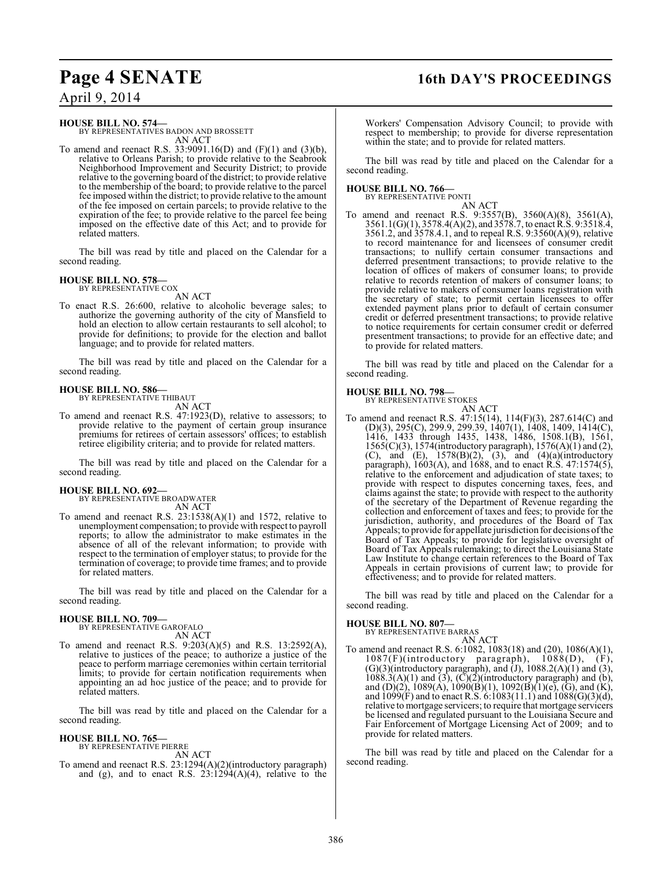# **Page 4 SENATE 16th DAY'S PROCEEDINGS**

April 9, 2014

#### **HOUSE BILL NO. 574—**

BY REPRESENTATIVES BADON AND BROSSETT AN ACT

To amend and reenact R.S. 33:9091.16(D) and (F)(1) and (3)(b), relative to Orleans Parish; to provide relative to the Seabrook Neighborhood Improvement and Security District; to provide relative to the governing board of the district; to provide relative to the membership of the board; to provide relative to the parcel fee imposed within the district; to provide relative to the amount of the fee imposed on certain parcels; to provide relative to the expiration of the fee; to provide relative to the parcel fee being imposed on the effective date of this Act; and to provide for related matters.

The bill was read by title and placed on the Calendar for a second reading.

#### **HOUSE BILL NO. 578—**

BY REPRESENTATIVE COX AN ACT

To enact R.S. 26:600, relative to alcoholic beverage sales; to authorize the governing authority of the city of Mansfield to hold an election to allow certain restaurants to sell alcohol; to provide for definitions; to provide for the election and ballot language; and to provide for related matters.

The bill was read by title and placed on the Calendar for a second reading.

# **HOUSE BILL NO. 586—** BY REPRESENTATIVE THIBAUT

AN ACT

To amend and reenact R.S. 47:1923(D), relative to assessors; to provide relative to the payment of certain group insurance premiums for retirees of certain assessors' offices; to establish retiree eligibility criteria; and to provide for related matters.

The bill was read by title and placed on the Calendar for a second reading.

**HOUSE BILL NO. 692—** BY REPRESENTATIVE BROADWATER AN ACT

To amend and reenact R.S. 23:1538(A)(1) and 1572, relative to unemployment compensation; to provide with respect to payroll reports; to allow the administrator to make estimates in the absence of all of the relevant information; to provide with respect to the termination of employer status; to provide for the termination of coverage; to provide time frames; and to provide for related matters.

The bill was read by title and placed on the Calendar for a second reading.

#### **HOUSE BILL NO. 709—**

BY REPRESENTATIVE GAROFALO AN ACT

To amend and reenact R.S. 9:203(A)(5) and R.S. 13:2592(A), relative to justices of the peace; to authorize a justice of the peace to perform marriage ceremonies within certain territorial limits; to provide for certain notification requirements when appointing an ad hoc justice of the peace; and to provide for related matters.

The bill was read by title and placed on the Calendar for a second reading.

#### **HOUSE BILL NO. 765—**

BY REPRESENTATIVE PIERRE AN ACT

To amend and reenact R.S. 23:1294(A)(2)(introductory paragraph) and (g), and to enact R.S.  $23:1294(A)(4)$ , relative to the

Workers' Compensation Advisory Council; to provide with respect to membership; to provide for diverse representation within the state; and to provide for related matters.

The bill was read by title and placed on the Calendar for a second reading.

#### **HOUSE BILL NO. 766—**

BY REPRESENTATIVE PONTI AN ACT

To amend and reenact R.S. 9:3557(B), 3560(A)(8), 3561(A), 3561.1(G)(1), 3578.4(A)(2), and 3578.7, to enact R.S. 9:3518.4, 3561.2, and 3578.4.1, and to repeal R.S. 9:3560(A)(9), relative to record maintenance for and licensees of consumer credit transactions; to nullify certain consumer transactions and deferred presentment transactions; to provide relative to the location of offices of makers of consumer loans; to provide relative to records retention of makers of consumer loans; to provide relative to makers of consumer loans registration with the secretary of state; to permit certain licensees to offer extended payment plans prior to default of certain consumer credit or deferred presentment transactions; to provide relative to notice requirements for certain consumer credit or deferred presentment transactions; to provide for an effective date; and to provide for related matters.

The bill was read by title and placed on the Calendar for a second reading.

#### **HOUSE BILL NO. 798—**

BY REPRESENTATIVE STOKES AN ACT

To amend and reenact R.S. 47:15(14), 114(F)(3), 287.614(C) and (D)(3), 295(C), 299.9, 299.39, 1407(1), 1408, 1409, 1414(C), 1416, 1433 through 1435, 1438, 1486, 1508.1(B), 1561, 1565(C)(3), 1574(introductory paragraph), 1576(A)(1) and (2), (C), and (E),  $1578(B)(2)$ , (3), and  $(4)(a)$ (introductory paragraph), 1603(A), and 1688, and to enact R.S. 47:1574(5), relative to the enforcement and adjudication of state taxes; to provide with respect to disputes concerning taxes, fees, and claims against the state; to provide with respect to the authority of the secretary of the Department of Revenue regarding the collection and enforcement of taxes and fees; to provide for the jurisdiction, authority, and procedures of the Board of Tax Appeals; to provide for appellate jurisdiction for decisions of the Board of Tax Appeals; to provide for legislative oversight of Board of Tax Appeals rulemaking; to direct the Louisiana State Law Institute to change certain references to the Board of Tax Appeals in certain provisions of current law; to provide for effectiveness; and to provide for related matters.

The bill was read by title and placed on the Calendar for a second reading.

#### **HOUSE BILL NO. 807—**

BY REPRESENTATIVE BARRAS

AN ACT To amend and reenact R.S. 6:1082, 1083(18) and (20), 1086(A)(1), 1087(F)(introductory paragraph), 1088(D), (F), 1087(F)(introductory paragraph), 1088(D), (F),  $(G)(3)$ (introductory paragraph), and  $(J)$ , 1088.2(A) $(1)$  and  $(3)$ ,  $1088.3(A)(1)$  and  $(3)$ ,  $(\overline{C})(2)$ (introductory paragraph) and  $(b)$ , and (D)(2), 1089(A), 1090(B)(1), 1092(B)(1)(e), (G), and (K), and 1099(F) and to enact R.S. 6:1083(11.1) and 1088(G)(3)(d), relative to mortgage servicers; to require that mortgage servicers be licensed and regulated pursuant to the Louisiana Secure and Fair Enforcement of Mortgage Licensing Act of 2009; and to provide for related matters.

The bill was read by title and placed on the Calendar for a second reading.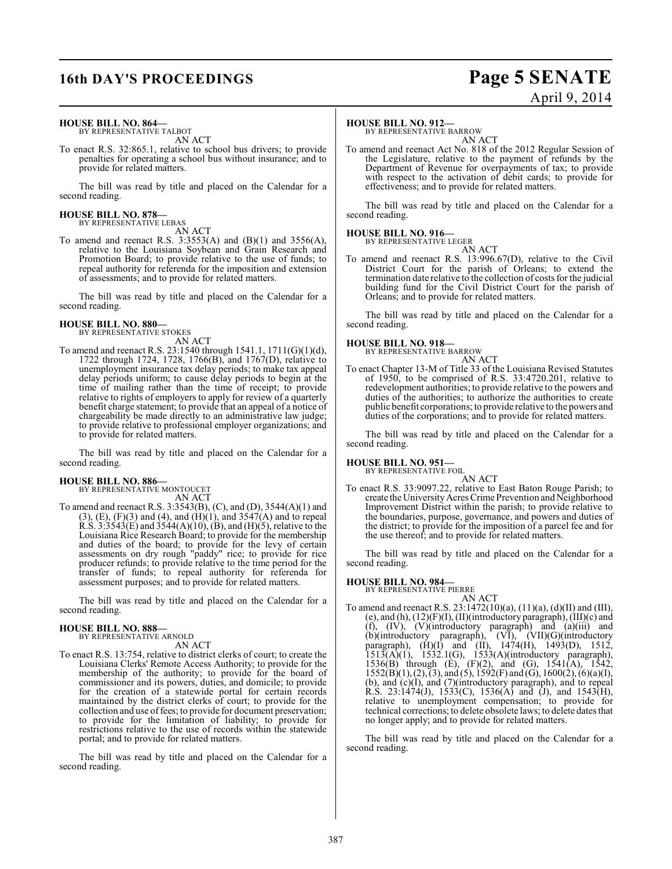# **16th DAY'S PROCEEDINGS Page 5 SENATE**

# April 9, 2014

#### **HOUSE BILL NO. 864—** BY REPRESENTATIVE TALBOT

AN ACT

To enact R.S. 32:865.1, relative to school bus drivers; to provide penalties for operating a school bus without insurance; and to provide for related matters.

The bill was read by title and placed on the Calendar for a second reading.

#### **HOUSE BILL NO. 878—** BY REPRESENTATIVE LEBAS

AN ACT

To amend and reenact R.S. 3:3553(A) and (B)(1) and 3556(A), relative to the Louisiana Soybean and Grain Research and Promotion Board; to provide relative to the use of funds; to repeal authority for referenda for the imposition and extension of assessments; and to provide for related matters.

The bill was read by title and placed on the Calendar for a second reading.

#### **HOUSE BILL NO. 880—** BY REPRESENTATIVE STOKES

AN ACT

To amend and reenact R.S. 23:1540 through 1541.1, 1711(G)(1)(d), 1722 through 1724, 1728, 1766(B), and 1767(D), relative to unemployment insurance tax delay periods; to make tax appeal delay periods uniform; to cause delay periods to begin at the time of mailing rather than the time of receipt; to provide relative to rights of employers to apply for review of a quarterly benefit charge statement; to provide that an appeal of a notice of chargeability be made directly to an administrative law judge; to provide relative to professional employer organizations; and to provide for related matters.

The bill was read by title and placed on the Calendar for a second reading.

#### **HOUSE BILL NO. 886—** BY REPRESENTATIVE MONTOUCET

AN ACT

To amend and reenact R.S. 3:3543(B), (C), and (D), 3544(A)(1) and  $(3)$ ,  $(E)$ ,  $(F)(3)$  and  $(4)$ , and  $(H)(1)$ , and  $3547(A)$  and to repeal R.S. 3:3543(E) and 3544(A)(10), (B), and (H)(5), relative to the Louisiana Rice Research Board; to provide for the membership and duties of the board; to provide for the levy of certain assessments on dry rough "paddy" rice; to provide for rice producer refunds; to provide relative to the time period for the transfer of funds; to repeal authority for referenda for assessment purposes; and to provide for related matters.

The bill was read by title and placed on the Calendar for a second reading.

#### **HOUSE BILL NO. 888—** BY REPRESENTATIVE ARNOLD

AN ACT

To enact R.S. 13:754, relative to district clerks of court; to create the Louisiana Clerks' Remote Access Authority; to provide for the membership of the authority; to provide for the board of commissioner and its powers, duties, and domicile; to provide for the creation of a statewide portal for certain records maintained by the district clerks of court; to provide for the collection and use offees; to provide for document preservation; to provide for the limitation of liability; to provide for restrictions relative to the use of records within the statewide portal; and to provide for related matters.

The bill was read by title and placed on the Calendar for a second reading.

#### **HOUSE BILL NO. 912—**

BY REPRESENTATIVE BARROW

AN ACT To amend and reenact Act No. 818 of the 2012 Regular Session of the Legislature, relative to the payment of refunds by the Department of Revenue for overpayments of tax; to provide with respect to the activation of debit cards; to provide for effectiveness; and to provide for related matters.

The bill was read by title and placed on the Calendar for a second reading.

### **HOUSE BILL NO. 916—**

BY REPRESENTATIVE LEGER

AN ACT To amend and reenact R.S. 13:996.67(D), relative to the Civil District Court for the parish of Orleans; to extend the termination date relative to the collection of costs for the judicial building fund for the Civil District Court for the parish of Orleans; and to provide for related matters.

The bill was read by title and placed on the Calendar for a second reading.

**HOUSE BILL NO. 918—** BY REPRESENTATIVE BARROW AN ACT

To enact Chapter 13-M of Title 33 of the Louisiana Revised Statutes of 1950, to be comprised of R.S. 33:4720.201, relative to redevelopment authorities; to provide relative to the powers and duties of the authorities; to authorize the authorities to create public benefit corporations; to provide relative to the powers and duties of the corporations; and to provide for related matters.

The bill was read by title and placed on the Calendar for a second reading.

#### **HOUSE BILL NO. 951—** BY REPRESENTATIVE FOIL

AN ACT

To enact R.S. 33:9097.22, relative to East Baton Rouge Parish; to create the University Acres Crime Prevention and Neighborhood Improvement District within the parish; to provide relative to the boundaries, purpose, governance, and powers and duties of the district; to provide for the imposition of a parcel fee and for the use thereof; and to provide for related matters.

The bill was read by title and placed on the Calendar for a second reading.

#### **HOUSE BILL NO. 984—**

BY REPRESENTATIVE PIERRE

AN ACT To amend and reenact R.S. 23:1472(10)(a), (11)(a), (d)(II) and (III), (e), and (h), (12)(F)(I), (II)(introductory paragraph), (III)(c) and (f), (IV), (V)(introductory paragraph) and (a)(iii) and (b)(introductory paragraph), (VI), (VII)(G)(introductory paragraph), (H)(I) and (II), 1474(H), 1493(D), 1512, 1513(A)(1), 1532.1(G), 1533(A)(introductory paragraph), 1536(B) through (E), (F)(2), and (G), 1541(A), 1542,  $1552(B)(1), (2), (3),$  and  $(5), 1592(F)$  and  $(G), 1600(2), (6)(a)(I),$ (b), and (c)(I), and (7)(introductory paragraph), and to repeal  $R.S. 23:1474(J), 1533(C), 1536(A)$  and  $(J),$  and  $1543(H),$ relative to unemployment compensation; to provide for technical corrections; to delete obsolete laws; to delete dates that no longer apply; and to provide for related matters.

The bill was read by title and placed on the Calendar for a second reading.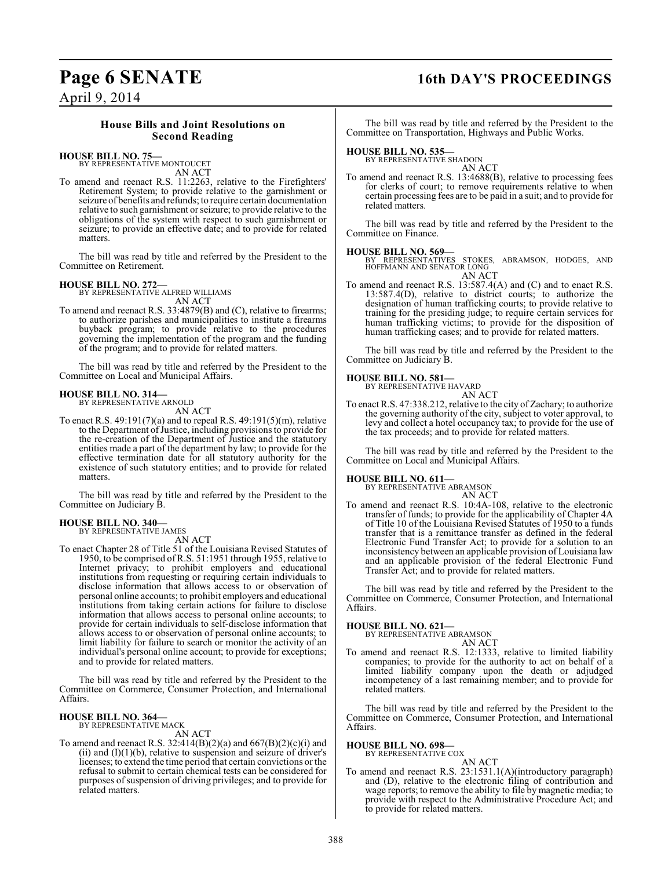# **Page 6 SENATE 16th DAY'S PROCEEDINGS**

April 9, 2014

### **House Bills and Joint Resolutions on Second Reading**

### **HOUSE BILL NO. 75—**

BY REPRESENTATIVE MONTOUCET AN ACT

To amend and reenact R.S. 11:2263, relative to the Firefighters' Retirement System; to provide relative to the garnishment or seizure of benefits and refunds; to require certain documentation relative to such garnishment or seizure; to provide relative to the obligations of the system with respect to such garnishment or seizure; to provide an effective date; and to provide for related matters.

The bill was read by title and referred by the President to the Committee on Retirement.

### **HOUSE BILL NO. 272—** BY REPRESENTATIVE ALFRED WILLIAMS

AN ACT

To amend and reenact R.S. 33:4879(B) and (C), relative to firearms; to authorize parishes and municipalities to institute a firearms buyback program; to provide relative to the procedures governing the implementation of the program and the funding of the program; and to provide for related matters.

The bill was read by title and referred by the President to the Committee on Local and Municipal Affairs.

#### **HOUSE BILL NO. 314—** BY REPRESENTATIVE ARNOLD

AN ACT

To enact R.S. 49:191(7)(a) and to repeal R.S. 49:191(5)(m), relative to the Department of Justice, including provisions to provide for the re-creation of the Department of Justice and the statutory entities made a part of the department by law; to provide for the effective termination date for all statutory authority for the existence of such statutory entities; and to provide for related matters.

The bill was read by title and referred by the President to the Committee on Judiciary B.

### **HOUSE BILL NO. 340—**

BY REPRESENTATIVE JAMES

AN ACT To enact Chapter 28 of Title 51 of the Louisiana Revised Statutes of 1950, to be comprised of R.S. 51:1951 through 1955, relative to Internet privacy; to prohibit employers and educational institutions from requesting or requiring certain individuals to disclose information that allows access to or observation of personal online accounts; to prohibit employers and educational institutions from taking certain actions for failure to disclose information that allows access to personal online accounts; to provide for certain individuals to self-disclose information that allows access to or observation of personal online accounts; to limit liability for failure to search or monitor the activity of an individual's personal online account; to provide for exceptions; and to provide for related matters.

The bill was read by title and referred by the President to the Committee on Commerce, Consumer Protection, and International Affairs.

#### **HOUSE BILL NO. 364—**

BY REPRESENTATIVE MACK AN ACT

To amend and reenact R.S.  $32:414(B)(2)(a)$  and  $667(B)(2)(c)(i)$  and (ii) and  $(I)(1)(b)$ , relative to suspension and seizure of driver's licenses; to extend the time period that certain convictions or the refusal to submit to certain chemical tests can be considered for purposes of suspension of driving privileges; and to provide for related matters.

The bill was read by title and referred by the President to the Committee on Transportation, Highways and Public Works.

### **HOUSE BILL NO. 535—** BY REPRESENTATIVE SHADOIN

AN ACT

To amend and reenact R.S. 13:4688(B), relative to processing fees for clerks of court; to remove requirements relative to when certain processing fees are to be paid in a suit; and to provide for related matters.

The bill was read by title and referred by the President to the Committee on Finance.

#### **HOUSE BILL NO. 569—**

BY REPRESENTATIVES STOKES, ABRAMSON, HODGES, AND HOFFMANN AND SENATOR LONG AN ACT

To amend and reenact R.S. 13:587.4(A) and (C) and to enact R.S. 13:587.4(D), relative to district courts; to authorize the designation of human trafficking courts; to provide relative to training for the presiding judge; to require certain services for human trafficking victims; to provide for the disposition of human trafficking cases; and to provide for related matters.

The bill was read by title and referred by the President to the Committee on Judiciary B.

#### **HOUSE BILL NO. 581—**

BY REPRESENTATIVE HAVARD AN ACT

To enact R.S. 47:338.212, relative to the city of Zachary; to authorize the governing authority of the city, subject to voter approval, to levy and collect a hotel occupancy tax; to provide for the use of the tax proceeds; and to provide for related matters.

The bill was read by title and referred by the President to the Committee on Local and Municipal Affairs.

# **HOUSE BILL NO. 611—** BY REPRESENTATIVE ABRAMSON

AN ACT

To amend and reenact R.S. 10:4A-108, relative to the electronic transfer of funds; to provide for the applicability of Chapter 4A of Title 10 of the Louisiana Revised Statutes of 1950 to a funds transfer that is a remittance transfer as defined in the federal Electronic Fund Transfer Act; to provide for a solution to an inconsistency between an applicable provision of Louisiana law and an applicable provision of the federal Electronic Fund Transfer Act; and to provide for related matters.

The bill was read by title and referred by the President to the Committee on Commerce, Consumer Protection, and International Affairs.

#### **HOUSE BILL NO. 621—**

BY REPRESENTATIVE ABRAMSON AN ACT

To amend and reenact R.S. 12:1333, relative to limited liability companies; to provide for the authority to act on behalf of a limited liability company upon the death or adjudged incompetency of a last remaining member; and to provide for related matters.

The bill was read by title and referred by the President to the Committee on Commerce, Consumer Protection, and International Affairs.

### **HOUSE BILL NO. 698—** BY REPRESENTATIVE COX

AN ACT

To amend and reenact R.S. 23:1531.1(A)(introductory paragraph) and (D), relative to the electronic filing of contribution and wage reports; to remove the ability to file by magnetic media; to provide with respect to the Administrative Procedure Act; and to provide for related matters.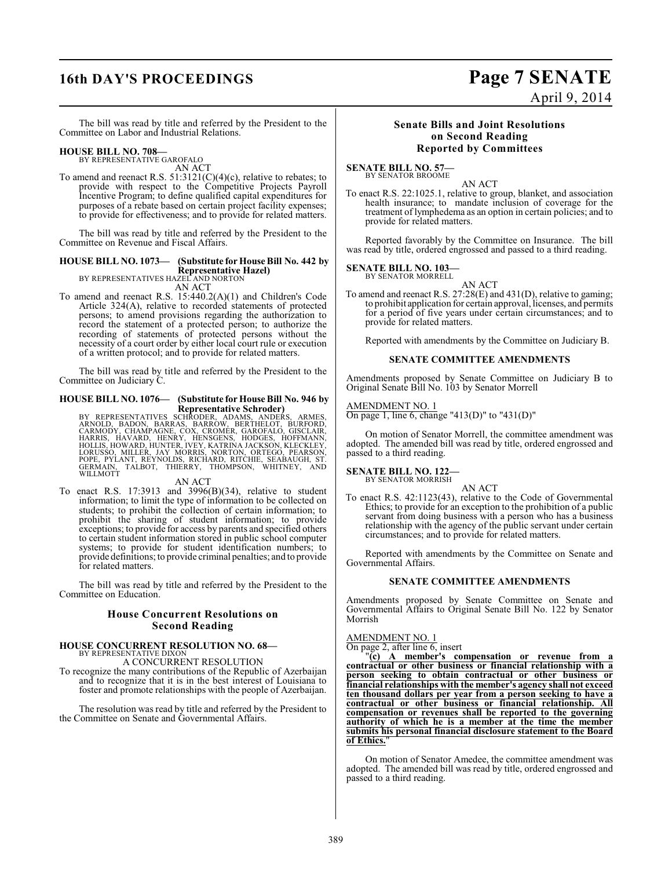# **16th DAY'S PROCEEDINGS Page 7 SENATE**

# April 9, 2014

The bill was read by title and referred by the President to the Committee on Labor and Industrial Relations.

#### **HOUSE BILL NO. 708—**

BY REPRESENTATIVE GAROFALO AN ACT

To amend and reenact R.S.  $51:3121(C)(4)(c)$ , relative to rebates; to provide with respect to the Competitive Projects Payroll Incentive Program; to define qualified capital expenditures for purposes of a rebate based on certain project facility expenses; to provide for effectiveness; and to provide for related matters.

The bill was read by title and referred by the President to the Committee on Revenue and Fiscal Affairs.

### **HOUSE BILL NO. 1073— (Substitute for House Bill No. 442 by Representative Hazel)** BY REPRESENTATIVES HAZEL AND NORTON

AN ACT

To amend and reenact R.S. 15:440.2(A)(1) and Children's Code Article 324(A), relative to recorded statements of protected persons; to amend provisions regarding the authorization to record the statement of a protected person; to authorize the recording of statements of protected persons without the necessity of a court order by either local court rule or execution of a written protocol; and to provide for related matters.

The bill was read by title and referred by the President to the Committee on Judiciary C.

#### **HOUSE BILL NO. 1076— (Substitute for House Bill No. 946 by Representative Schroder)**

BY REPRESENTATIVES SCHRODER, ADAMS, ANDERS, ARMES,<br>ARNOLD, BADON, BARRAS, BARRÓW, BERTHELOT, BURFORD,<br>CARMODY, CHAMPAGNE, COX, CROMER, GAROFALO, GISCLAIR,<br>HOLLIS, HAVARD, HENRY, HENSGENS, HODGES, HOFFMANN,<br>HOLLIS, HAVARD, WILLMOTT

#### AN ACT

To enact R.S. 17:3913 and 3996(B)(34), relative to student information; to limit the type of information to be collected on students; to prohibit the collection of certain information; to prohibit the sharing of student information; to provide exceptions; to provide for access by parents and specified others to certain student information stored in public school computer systems; to provide for student identification numbers; to provide definitions; to provide criminal penalties; and to provide for related matters.

The bill was read by title and referred by the President to the Committee on Education.

#### **House Concurrent Resolutions on Second Reading**

### **HOUSE CONCURRENT RESOLUTION NO. 68—**

BY REPRESENTATIVE DIXON A CONCURRENT RESOLUTION

To recognize the many contributions of the Republic of Azerbaijan and to recognize that it is in the best interest of Louisiana to foster and promote relationships with the people of Azerbaijan.

The resolution was read by title and referred by the President to the Committee on Senate and Governmental Affairs.

#### **Senate Bills and Joint Resolutions on Second Reading Reported by Committees**

**SENATE BILL NO. 57—** BY SENATOR BROOME

AN ACT

To enact R.S. 22:1025.1, relative to group, blanket, and association health insurance; to mandate inclusion of coverage for the treatment of lymphedema as an option in certain policies; and to provide for related matters.

Reported favorably by the Committee on Insurance. The bill was read by title, ordered engrossed and passed to a third reading.

#### **SENATE BILL NO. 103—**

BY SENATOR MORRELL

AN ACT To amend and reenact R.S. 27:28(E) and 431(D), relative to gaming; to prohibit application for certain approval, licenses, and permits for a period of five years under certain circumstances; and to provide for related matters.

Reported with amendments by the Committee on Judiciary B.

#### **SENATE COMMITTEE AMENDMENTS**

Amendments proposed by Senate Committee on Judiciary B to Original Senate Bill No. 103 by Senator Morrell

#### AMENDMENT NO. 1

On page 1, line 6, change "413(D)" to "431(D)"

On motion of Senator Morrell, the committee amendment was adopted. The amended bill was read by title, ordered engrossed and passed to a third reading.

#### **SENATE BILL NO. 122—**

BY SENATOR MORRISH AN ACT

To enact R.S. 42:1123(43), relative to the Code of Governmental Ethics; to provide for an exception to the prohibition of a public servant from doing business with a person who has a business relationship with the agency of the public servant under certain circumstances; and to provide for related matters.

Reported with amendments by the Committee on Senate and Governmental Affairs.

#### **SENATE COMMITTEE AMENDMENTS**

Amendments proposed by Senate Committee on Senate and Governmental Affairs to Original Senate Bill No. 122 by Senator Morrish

#### AMENDMENT NO. 1

On page 2, after line 6, insert

"**(c) A member's compensation or revenue from a contractual or other business or financial relationship with a person seeking to obtain contractual or other business or financial relationships with the member's agency shall not exceed ten thousand dollars per year from a person seeking to have a contractual or other business or financial relationship. All compensation or revenues shall be reported to the governing authority of which he is a member at the time the member submits his personal financial disclosure statement to the Board of Ethics.**"

On motion of Senator Amedee, the committee amendment was adopted. The amended bill was read by title, ordered engrossed and passed to a third reading.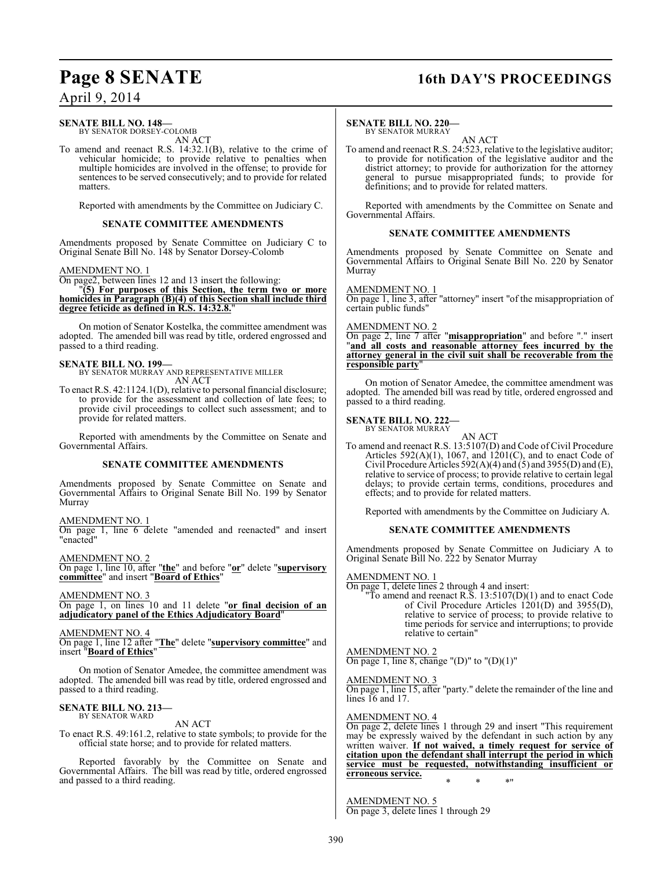### **Page 8 SENATE 16th DAY'S PROCEEDINGS**

### April 9, 2014

#### **SENATE BILL NO. 148—** BY SENATOR DORSEY-COLOMB

AN ACT

To amend and reenact R.S. 14:32.1(B), relative to the crime of vehicular homicide; to provide relative to penalties when multiple homicides are involved in the offense; to provide for sentences to be served consecutively; and to provide for related matters.

Reported with amendments by the Committee on Judiciary C.

#### **SENATE COMMITTEE AMENDMENTS**

Amendments proposed by Senate Committee on Judiciary C to Original Senate Bill No. 148 by Senator Dorsey-Colomb

#### AMENDMENT NO. 1

On page2, between lines 12 and 13 insert the following:

"**(5) For purposes of this Section, the term two or more homicides in Paragraph (B)(4) of this Section shall include third degree feticide as defined in R.S. 14:32.8.**"

On motion of Senator Kostelka, the committee amendment was adopted. The amended bill was read by title, ordered engrossed and passed to a third reading.

**SENATE BILL NO. 199—** BY SENATOR MURRAY AND REPRESENTATIVE MILLER AN ACT

To enact R.S. 42:1124.1(D), relative to personal financial disclosure; to provide for the assessment and collection of late fees; to provide civil proceedings to collect such assessment; and to provide for related matters.

Reported with amendments by the Committee on Senate and Governmental Affairs.

#### **SENATE COMMITTEE AMENDMENTS**

Amendments proposed by Senate Committee on Senate and Governmental Affairs to Original Senate Bill No. 199 by Senator Murray

AMENDMENT NO. 1 On page 1, line 6 delete "amended and reenacted" and insert

"enacted"

AMENDMENT NO. 2 On page 1, line 10, after "**the**" and before "**or**" delete "**supervisory committee**" and insert "**Board of Ethics**"

AMENDMENT NO. 3 On page 1, on lines 10 and 11 delete "**or final decision of an adjudicatory panel of the Ethics Adjudicatory Board**"

AMENDMENT NO. 4

On page 1, line 12 after "**The**" delete "**supervisory committee**" and insert "**Board of Ethics**"

On motion of Senator Amedee, the committee amendment was adopted. The amended bill was read by title, ordered engrossed and passed to a third reading.

### **SENATE BILL NO. 213—** BY SENATOR WARD

AN ACT

To enact R.S. 49:161.2, relative to state symbols; to provide for the official state horse; and to provide for related matters.

Reported favorably by the Committee on Senate and Governmental Affairs. The bill was read by title, ordered engrossed and passed to a third reading.

#### **SENATE BILL NO. 220—**

BY SENATOR MURRAY

AN ACT To amend and reenact R.S. 24:523, relative to the legislative auditor; to provide for notification of the legislative auditor and the district attorney; to provide for authorization for the attorney general to pursue misappropriated funds; to provide for definitions; and to provide for related matters.

Reported with amendments by the Committee on Senate and Governmental Affairs.

#### **SENATE COMMITTEE AMENDMENTS**

Amendments proposed by Senate Committee on Senate and Governmental Affairs to Original Senate Bill No. 220 by Senator Murray

#### AMENDMENT NO. 1

On page 1, line 3, after "attorney" insert "of the misappropriation of certain public funds"

#### AMENDMENT NO. 2

On page 2, line 7 after "**misappropriation**" and before "." insert "**and all costs and reasonable attorney fees incurred by the attorney general in the civil suit shall be recoverable from the responsible party**"

On motion of Senator Amedee, the committee amendment was adopted. The amended bill was read by title, ordered engrossed and passed to a third reading.

#### **SENATE BILL NO. 222—** BY SENATOR MURRAY

AN ACT

To amend and reenact R.S. 13:5107(D) and Code of Civil Procedure Articles  $592(A)(1)$ , 1067, and  $1201(C)$ , and to enact Code of Civil Procedure Articles 592(A)(4) and (5) and 3955(D) and (E), relative to service of process; to provide relative to certain legal delays; to provide certain terms, conditions, procedures and effects; and to provide for related matters.

Reported with amendments by the Committee on Judiciary A.

#### **SENATE COMMITTEE AMENDMENTS**

Amendments proposed by Senate Committee on Judiciary A to Original Senate Bill No. 222 by Senator Murray

#### AMENDMENT NO. 1

On page 1, delete lines 2 through 4 and insert: "To amend and reenact R.S.  $13:5107(D)(1)$  and to enact Code of Civil Procedure Articles  $\hat{1201}$ (D) and 3955(D), relative to service of process; to provide relative to time periods for service and interruptions; to provide relative to certain"

AMENDMENT NO. 2 On page 1, line 8, change "(D)" to " $(D)(1)$ "

#### AMENDMENT NO. 3

On page 1, line 15, after "party." delete the remainder of the line and lines 16 and 17.

#### AMENDMENT NO. 4

On page 2, delete lines 1 through 29 and insert "This requirement may be expressly waived by the defendant in such action by any written waiver. **If not waived, a timely request for service of citation upon the defendant shall interrupt the period in which service must be requested, notwithstanding insufficient or erroneous service.** \* \* \*"

AMENDMENT NO. 5 On page 3, delete lines 1 through 29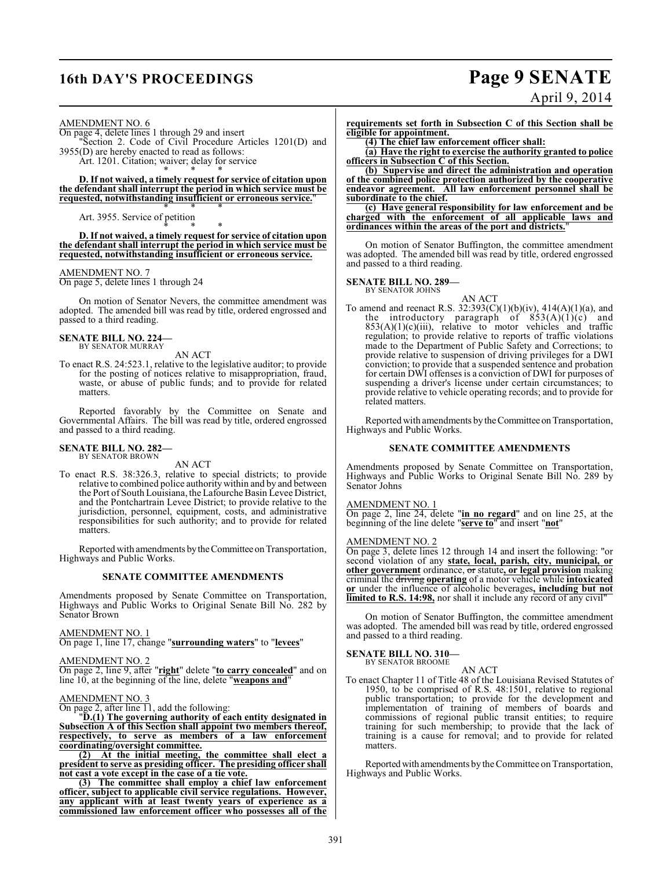# **16th DAY'S PROCEEDINGS Page 9 SENATE**

# April 9, 2014

AMENDMENT NO. 6

On page 4, delete lines 1 through 29 and insert "Section 2. Code of Civil Procedure Articles 1201(D) and 3955(D) are hereby enacted to read as follows: Art. 1201. Citation; waiver; delay for service

\* \* \* **D. If not waived, a timely request for service of citation upon the defendant shall interrupt the period in which service must be requested, notwithstanding insufficient or erroneous service.**" \* \* \*

Art. 3955. Service of petition

\* \* \* **D. If not waived, a timely request for service of citation upon the defendant shall interrupt the period in which service must be requested, notwithstanding insufficient or erroneous service.**

#### AMENDMENT NO. 7

On page 5, delete lines 1 through 24

On motion of Senator Nevers, the committee amendment was adopted. The amended bill was read by title, ordered engrossed and passed to a third reading.

#### **SENATE BILL NO. 224—** BY SENATOR MURRAY

AN ACT

To enact R.S. 24:523.1, relative to the legislative auditor; to provide for the posting of notices relative to misappropriation, fraud, waste, or abuse of public funds; and to provide for related matters.

Reported favorably by the Committee on Senate and Governmental Affairs. The bill was read by title, ordered engrossed and passed to a third reading.

#### **SENATE BILL NO. 282—** BY SENATOR BROWN

AN ACT

To enact R.S. 38:326.3, relative to special districts; to provide relative to combined police authority within and by and between the Port of South Louisiana, theLafourche Basin Levee District, and the Pontchartrain Levee District; to provide relative to the jurisdiction, personnel, equipment, costs, and administrative responsibilities for such authority; and to provide for related matters.

Reported with amendments by the Committee on Transportation, Highways and Public Works.

#### **SENATE COMMITTEE AMENDMENTS**

Amendments proposed by Senate Committee on Transportation, Highways and Public Works to Original Senate Bill No. 282 by Senator Brown

AMENDMENT NO. 1

On page 1, line 17, change "**surrounding waters**" to "**levees**"

#### AMENDMENT NO. 2

On page 2, line 9, after "**right**" delete "**to carry concealed**" and on line 10, at the beginning of the line, delete "**weapons and**"

#### AMENDMENT NO. 3

On page 2, after line 11, add the following:

"**D.(1) The governing authority of each entity designated in Subsection A of this Section shall appoint two members thereof, respectively, to serve as members of a law enforcement coordinating/oversight committee.**

**(2) At the initial meeting, the committee shall elect a president to serve as presiding officer. The presiding officer shall not cast a vote except in the case of a tie vote.**

**(3) The committee shall employ a chief law enforcement officer, subject to applicable civil service regulations. However, any applicant with at least twenty years of experience as a commissioned law enforcement officer who possesses all of the** **requirements set forth in Subsection C of this Section shall be eligible for appointment.**

**(4) The chief law enforcement officer shall:**

**(a) Have the right to exercise the authority granted to police officers in Subsection C of this Section.**

**(b) Supervise and direct the administration and operation of the combined police protection authorized by the cooperative endeavor agreement. All law enforcement personnel shall be subordinate to the chief.**

**(c) Have general responsibility for law enforcement and be charged with the enforcement of all applicable laws and ordinances within the areas of the port and districts.**"

On motion of Senator Buffington, the committee amendment was adopted. The amended bill was read by title, ordered engrossed and passed to a third reading.

## **SENATE BILL NO. 289—** BY SENATOR JOHNS

AN ACT To amend and reenact R.S.  $32:393(C)(1)(b)(iv)$ ,  $414(A)(1)(a)$ , and the introductory paragraph of  $853(A)(1)(c)$  and  $853(A)(1)(c)(iii)$ , relative to motor vehicles and traffic regulation; to provide relative to reports of traffic violations made to the Department of Public Safety and Corrections; to provide relative to suspension of driving privileges for a DWI conviction; to provide that a suspended sentence and probation for certain DWI offenses is a conviction of DWI for purposes of suspending a driver's license under certain circumstances; to provide relative to vehicle operating records; and to provide for related matters.

Reported with amendments by the Committee on Transportation, Highways and Public Works.

#### **SENATE COMMITTEE AMENDMENTS**

Amendments proposed by Senate Committee on Transportation, Highways and Public Works to Original Senate Bill No. 289 by Senator Johns

#### AMENDMENT NO. 1

On page 2, line 24, delete "**in no regard**" and on line 25, at the beginning of the line delete "**serve to**" and insert "**not**"

#### AMENDMENT NO. 2

On page 3, delete lines 12 through 14 and insert the following: "or second violation of any **state, local, parish, city, municipal, or other government** ordinance, or statute**, or legal provision** making criminal the driving **operating** of a motor vehicle while **intoxicated or** under the influence of alcoholic beverages**, including but not limited to R.S. 14:98,** nor shall it include any record of any civil"

On motion of Senator Buffington, the committee amendment was adopted. The amended bill was read by title, ordered engrossed and passed to a third reading.

#### **SENATE BILL NO. 310—**

BY SENATOR BROOME

AN ACT To enact Chapter 11 of Title 48 of the Louisiana Revised Statutes of 1950, to be comprised of R.S. 48:1501, relative to regional public transportation; to provide for the development and implementation of training of members of boards and commissions of regional public transit entities; to require training for such membership; to provide that the lack of training is a cause for removal; and to provide for related matters.

Reported with amendments by the Committee on Transportation, Highways and Public Works.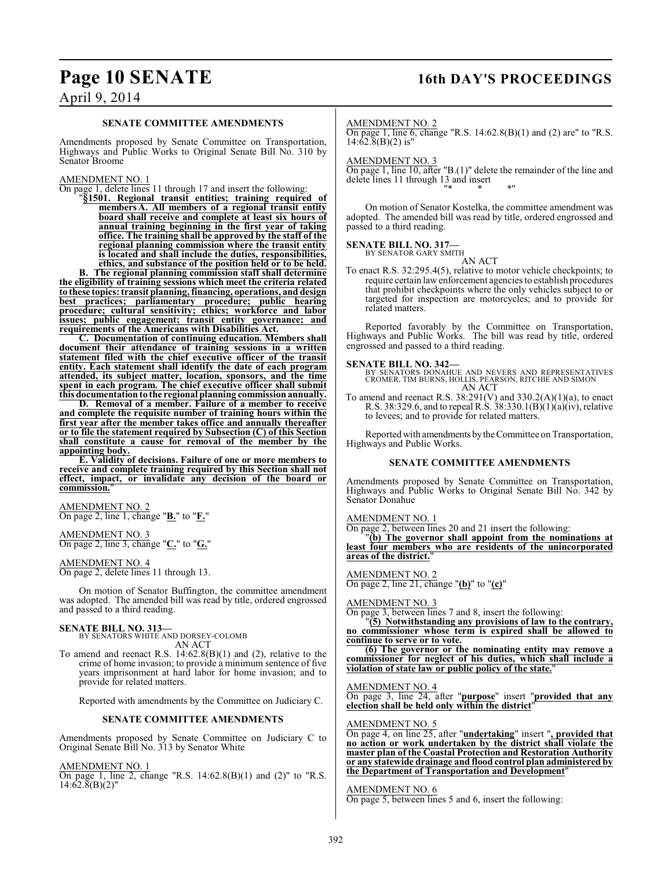### **Page 10 SENATE 16th DAY'S PROCEEDINGS**

### April 9, 2014

#### **SENATE COMMITTEE AMENDMENTS**

Amendments proposed by Senate Committee on Transportation, Highways and Public Works to Original Senate Bill No. 310 by Senator Broome

#### AMENDMENT NO. 1

On page 1, delete lines 11 through 17 and insert the following:

"**§1501. Regional transit entities; training required of membersA. All members of a regional transit entity board shall receive and complete at least six hours of annual training beginning in the first year of taking office. The training shall be approved by the staff of the regional planning commission where the transit entity is located and shall include the duties, responsibilities, ethics, and substance of the position held or to be held.**

**B. The regional planning commission staff shall determine the eligibility of training sessions which meet the criteria related to these topics:transit planning, financing, operations, and design best practices; parliamentary procedure; public hearing procedure; cultural sensitivity; ethics; workforce and labor issues; public engagement; transit entity governance; and requirements of the Americans with Disabilities Act.**

**C. Documentation of continuing education. Members shall document their attendance of training sessions in a written statement filed with the chief executive officer of the transit entity. Each statement shall identify the date of each program attended, its subject matter, location, sponsors, and the time spent in each program. The chief executive officer shall submit this documentation to the regional planning commission annually.**

**D. Removal of a member. Failure of a member to receive and complete the requisite number of training hours within the first year after the member takes office and annually thereafter or to file the statement required by Subsection (C) of this Section shall constitute a cause for removal of the member by the appointing body.**

**E. Validity of decisions. Failure of one or more members to receive and complete training required by this Section shall not effect, impact, or invalidate any decision of the board or** commission.

AMENDMENT NO. 2 On page 2, line 1, change "**B.**" to "**F.**"

#### AMENDMENT NO. 3 On page 2, line 3, change "**C.**" to "**G.**"

AMENDMENT NO. 4 On page 2, delete lines 11 through 13.

On motion of Senator Buffington, the committee amendment was adopted. The amended bill was read by title, ordered engrossed and passed to a third reading.

#### **SENATE BILL NO. 313—**

BY SENATORS WHITE AND DORSEY-COLOMB AN ACT

To amend and reenact R.S. 14:62.8(B)(1) and (2), relative to the crime of home invasion; to provide a minimum sentence of five years imprisonment at hard labor for home invasion; and to provide for related matters.

Reported with amendments by the Committee on Judiciary C.

#### **SENATE COMMITTEE AMENDMENTS**

Amendments proposed by Senate Committee on Judiciary C to Original Senate Bill No. 313 by Senator White

AMENDMENT NO. 1

On page 1, line 2, change "R.S. 14:62.8(B)(1) and (2)" to "R.S.  $14:62.8(B)(2)$ "

#### AMENDMENT NO. 2

On page 1, line 6, change "R.S.  $14:62.8(B)(1)$  and (2) are" to "R.S.  $14:62.\overline{8}$ (B)(2) is"

AMENDMENT NO. 3

On page 1, line 10, after "B.(1)" delete the remainder of the line and delete lines 11 through 13 and insert "\* \* \*"

On motion of Senator Kostelka, the committee amendment was adopted. The amended bill was read by title, ordered engrossed and passed to a third reading.

#### **SENATE BILL NO. 317—** BY SENATOR GARY SMITH

AN ACT

To enact R.S. 32:295.4(5), relative to motor vehicle checkpoints; to require certain law enforcement agencies to establish procedures that prohibit checkpoints where the only vehicles subject to or targeted for inspection are motorcycles; and to provide for related matters.

Reported favorably by the Committee on Transportation, Highways and Public Works. The bill was read by title, ordered engrossed and passed to a third reading.

**SENATE BILL NO. 342—** BY SENATORS DONAHUE AND NEVERS AND REPRESENTATIVES CROMER, TIM BURNS, HOLLIS, PEARSON, RITCHIE AND SIMON AN ACT

To amend and reenact R.S.  $38:291(V)$  and  $330.2(A)(1)(a)$ , to enact R.S. 38:329.6, and to repeal R.S. 38:330.1(B)(1)(a)(iv), relative to levees; and to provide for related matters.

Reported with amendments by the Committee on Transportation, Highways and Public Works.

#### **SENATE COMMITTEE AMENDMENTS**

Amendments proposed by Senate Committee on Transportation, Highways and Public Works to Original Senate Bill No. 342 by Senator Donahue

#### AMENDMENT NO. 1

On page 2, between lines 20 and 21 insert the following:

"**(b) The governor shall appoint from the nominations at least four members who are residents of the unincorporated areas of the district.**"

AMENDMENT NO. 2

On page 2, line 21, change "**(b)**" to "**(c)**"

#### AMENDMENT NO. 3

On page 3, between lines 7 and 8, insert the following:

"**(5) Notwithstanding any provisions of law to the contrary, no commissioner whose term is expired shall be allowed to continue to serve or to vote.**

**(6) The governor or the nominating entity may remove a commissioner for neglect of his duties, which shall include a violation of state law or public policy of the state.**"

AMENDMENT NO. 4

On page 3, line 24, after "**purpose**" insert "**provided that any election shall be held only within the district**"

AMENDMENT NO. 5

On page 4, on line 25, after "**undertaking**" insert "**, provided that no action or work undertaken by the district shall violate the master plan of the Coastal Protection and Restoration Authority or any statewide drainage and flood control plan administered by the Department of Transportation and Development**"

#### AMENDMENT NO. 6

On page 5, between lines 5 and 6, insert the following: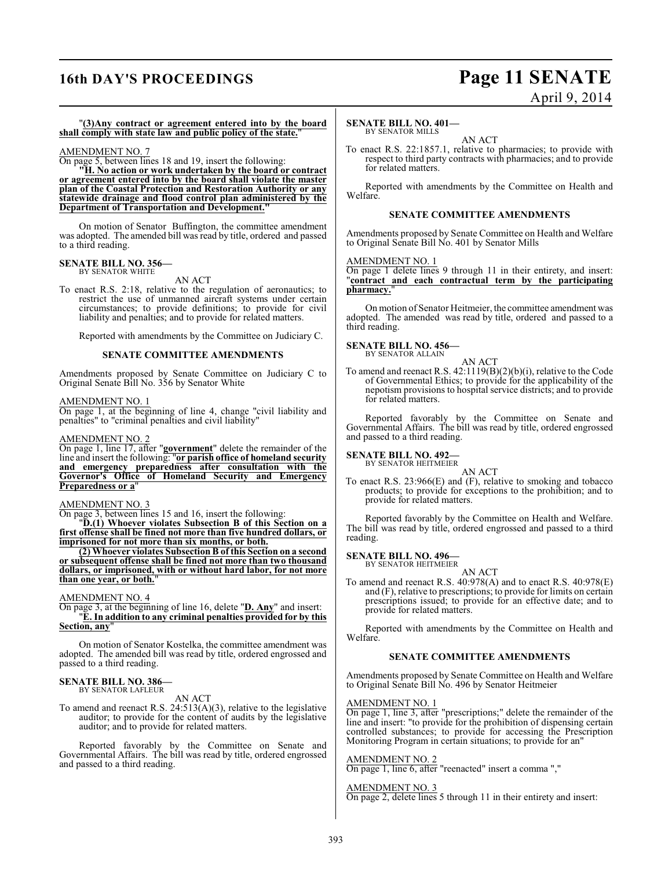## **16th DAY'S PROCEEDINGS Page 11 SENATE**

# April 9, 2014

"**(3)Any contract or agreement entered into by the board shall comply with state law and public policy of the state.**"

### AMENDMENT NO. 7

On page 5, between lines 18 and 19, insert the following:

**"H. No action or work undertaken by the board or contract or agreement entered into by the board shall violate the master plan of the Coastal Protection and Restoration Authority or any statewide drainage and flood control plan administered by the Department of Transportation and Development."**

On motion of Senator Buffington, the committee amendment was adopted. The amended bill was read by title, ordered and passed to a third reading.

#### **SENATE BILL NO. 356—** BY SENATOR WHITE

AN ACT

To enact R.S. 2:18, relative to the regulation of aeronautics; to restrict the use of unmanned aircraft systems under certain circumstances; to provide definitions; to provide for civil liability and penalties; and to provide for related matters.

Reported with amendments by the Committee on Judiciary C.

#### **SENATE COMMITTEE AMENDMENTS**

Amendments proposed by Senate Committee on Judiciary C to Original Senate Bill No. 356 by Senator White

#### AMENDMENT NO. 1

On page 1, at the beginning of line 4, change "civil liability and penalties" to "criminal penalties and civil liability"

#### AMENDMENT NO. 2

On page 1, line 17, after "**government**" delete the remainder of the line and insert the following: "**or parish office of homeland security and emergency preparedness after consultation with the Governor's Office of Homeland Security and Emergency Preparedness or a**"

#### AMENDMENT NO. 3

On page 3, between lines 15 and 16, insert the following:

"**D.(1) Whoever violates Subsection B of this Section on a first offense shall be fined not more than five hundred dollars, or imprisoned for not more than six months, or both.**

**(2) Whoever violates Subsection B of this Section on a second or subsequent offense shall be fined not more than two thousand dollars, or imprisoned, with or without hard labor, for not more than one year, or both.**"

#### AMENDMENT NO. 4

On page 3, at the beginning of line 16, delete "**D. Any**" and insert: "**E. In addition to any criminal penalties provided for by this Section, any**"

On motion of Senator Kostelka, the committee amendment was adopted. The amended bill was read by title, ordered engrossed and passed to a third reading.

### **SENATE BILL NO. 386—** BY SENATOR LAFLEUR

AN ACT

To amend and reenact R.S. 24:513(A)(3), relative to the legislative auditor; to provide for the content of audits by the legislative auditor; and to provide for related matters.

Reported favorably by the Committee on Senate and Governmental Affairs. The bill was read by title, ordered engrossed and passed to a third reading.

#### **SENATE BILL NO. 401—**

BY SENATOR MILLS

AN ACT To enact R.S. 22:1857.1, relative to pharmacies; to provide with respect to third party contracts with pharmacies; and to provide for related matters.

Reported with amendments by the Committee on Health and Welfare.

#### **SENATE COMMITTEE AMENDMENTS**

Amendments proposed by Senate Committee on Health and Welfare to Original Senate Bill No. 401 by Senator Mills

#### AMENDMENT NO. 1

On page 1 delete lines 9 through 11 in their entirety, and insert: "**contract and each contractual term by the participating pharmacy.**"

On motion of Senator Heitmeier, the committee amendment was adopted. The amended was read by title, ordered and passed to a third reading.

### **SENATE BILL NO. 456—** BY SENATOR ALLAIN

AN ACT

To amend and reenact R.S. 42:1119(B)(2)(b)(i), relative to the Code of Governmental Ethics; to provide for the applicability of the nepotism provisions to hospital service districts; and to provide for related matters.

Reported favorably by the Committee on Senate and Governmental Affairs. The bill was read by title, ordered engrossed and passed to a third reading.

#### **SENATE BILL NO. 492—**

BY SENATOR HEITMEIER AN ACT

To enact R.S. 23:966(E) and (F), relative to smoking and tobacco products; to provide for exceptions to the prohibition; and to provide for related matters.

Reported favorably by the Committee on Health and Welfare. The bill was read by title, ordered engrossed and passed to a third reading.

#### **SENATE BILL NO. 496—**

BY SENATOR HEITMEIER AN ACT

To amend and reenact R.S. 40:978(A) and to enact R.S. 40:978(E) and (F), relative to prescriptions; to provide for limits on certain prescriptions issued; to provide for an effective date; and to provide for related matters.

Reported with amendments by the Committee on Health and Welfare.

#### **SENATE COMMITTEE AMENDMENTS**

Amendments proposed by Senate Committee on Health and Welfare to Original Senate Bill No. 496 by Senator Heitmeier

#### AMENDMENT NO. 1

On page 1, line 3, after "prescriptions;" delete the remainder of the line and insert: "to provide for the prohibition of dispensing certain controlled substances; to provide for accessing the Prescription Monitoring Program in certain situations; to provide for an"

#### AMENDMENT NO. 2

On page 1, line 6, after "reenacted" insert a comma ","

#### AMENDMENT NO. 3

On page 2, delete lines 5 through 11 in their entirety and insert: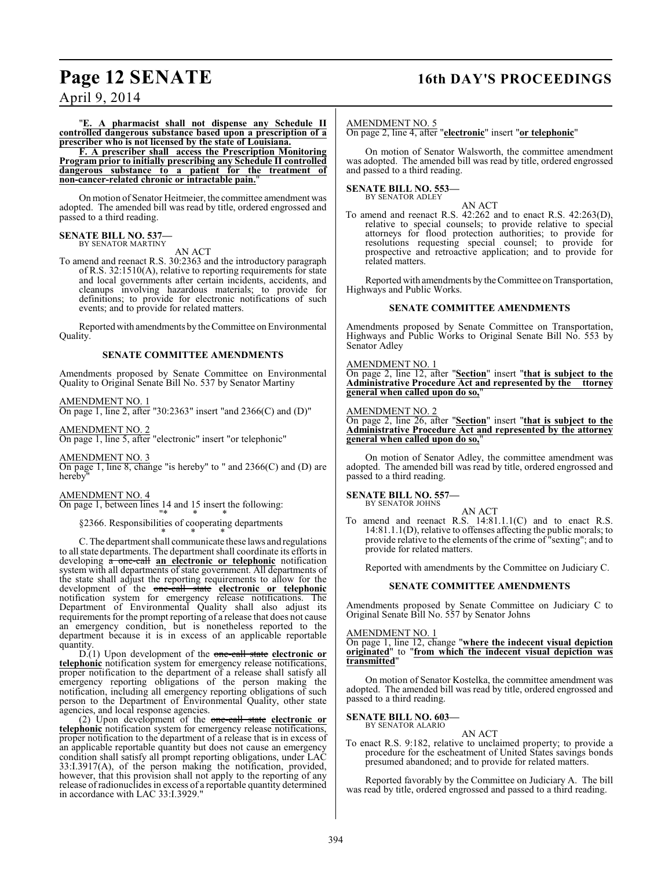### **Page 12 SENATE 16th DAY'S PROCEEDINGS**

April 9, 2014

"**E. A pharmacist shall not dispense any Schedule II controlled dangerous substance based upon a prescription of a prescriber who is not licensed by the state of Louisiana.**

**F. A prescriber shall access the Prescription Monitoring Program prior to initially prescribing any Schedule II controlled dangerous substance to a patient for the treatment of non-cancer-related chronic or intractable pain.**"

On motion of Senator Heitmeier, the committee amendment was adopted. The amended bill was read by title, ordered engrossed and passed to a third reading.

#### **SENATE BILL NO. 537—** BY SENATOR MARTINY

AN ACT

To amend and reenact R.S. 30:2363 and the introductory paragraph of R.S. 32:1510(A), relative to reporting requirements for state and local governments after certain incidents, accidents, and cleanups involving hazardous materials; to provide for definitions; to provide for electronic notifications of such events; and to provide for related matters.

Reported with amendments by the Committee on Environmental Quality.

#### **SENATE COMMITTEE AMENDMENTS**

Amendments proposed by Senate Committee on Environmental Quality to Original Senate Bill No. 537 by Senator Martiny

#### AMENDMENT NO. 1

On page 1, line 2, after "30:2363" insert "and 2366(C) and (D)"

AMENDMENT NO. 2

On page 1, line 5, after "electronic" insert "or telephonic"

AMENDMENT NO. 3

On page 1, line 8, change "is hereby" to " and 2366(C) and (D) are hereby

#### AMENDMENT NO. 4

On page 1, between lines 14 and 15 insert the following:

"\* \* \* §2366. Responsibilities of cooperating departments

\* \* \* C. The department shall communicate these laws and regulations to all state departments. The department shall coordinate its efforts in developing  $\hat{a}$  one-call an electronic or telephonic notification system with all departments of state government. All departments of the state shall adjust the reporting requirements to allow for the development of the one-call state **electronic or telephonic** notification system for emergency release notifications. The Department of Environmental Quality shall also adjust its requirements for the prompt reporting of a release that does not cause an emergency condition, but is nonetheless reported to the department because it is in excess of an applicable reportable quantity.

D.(1) Upon development of the one-call state **electronic or telephonic** notification system for emergency release notifications, proper notification to the department of a release shall satisfy all emergency reporting obligations of the person making the notification, including all emergency reporting obligations of such person to the Department of Environmental Quality, other state agencies, and local response agencies.

(2) Upon development of the one-call state **electronic or telephonic** notification system for emergency release notifications, proper notification to the department of a release that is in excess of an applicable reportable quantity but does not cause an emergency condition shall satisfy all prompt reporting obligations, under LAC 33:I.3917(A), of the person making the notification, provided, however, that this provision shall not apply to the reporting of any release ofradionuclides in excess of a reportable quantity determined in accordance with LAC 33:I.3929."

#### AMENDMENT NO. 5

On page 2, line 4, after "**electronic**" insert "**or telephonic**"

On motion of Senator Walsworth, the committee amendment was adopted. The amended bill was read by title, ordered engrossed and passed to a third reading.

#### **SENATE BILL NO. 553—** BY SENATOR ADLEY

AN ACT To amend and reenact R.S. 42:262 and to enact R.S. 42:263(D), relative to special counsels; to provide relative to special attorneys for flood protection authorities; to provide for resolutions requesting special counsel; to provide for prospective and retroactive application; and to provide for related matters.

Reported with amendments by the Committee on Transportation, Highways and Public Works.

#### **SENATE COMMITTEE AMENDMENTS**

Amendments proposed by Senate Committee on Transportation, Highways and Public Works to Original Senate Bill No. 553 by Senator Adley

#### AMENDMENT NO. 1

On page 2, line 12, after "**Section**" insert "**that is subject to the Administrative Procedure Act and represented by the ttorney general when called upon do so,**"

#### AMENDMENT NO. 2

On page 2, line 26, after "**Section**" insert "**that is subject to the Administrative Procedure Act and represented by the attorney general when called upon do so,**"

On motion of Senator Adley, the committee amendment was adopted. The amended bill was read by title, ordered engrossed and passed to a third reading.

#### **SENATE BILL NO. 557—** BY SENATOR JOHNS

AN ACT

To amend and reenact R.S. 14:81.1.1(C) and to enact R.S. 14:81.1.1(D), relative to offenses affecting the public morals; to provide relative to the elements of the crime of "sexting"; and to provide for related matters.

Reported with amendments by the Committee on Judiciary C.

#### **SENATE COMMITTEE AMENDMENTS**

Amendments proposed by Senate Committee on Judiciary C to Original Senate Bill No. 557 by Senator Johns

AMENDMENT NO. 1

On page 1, line 12, change "**where the indecent visual depiction originated**" to "**from which the indecent visual depiction was transmitted**"

On motion of Senator Kostelka, the committee amendment was adopted. The amended bill was read by title, ordered engrossed and passed to a third reading.

#### **SENATE BILL NO. 603—** BY SENATOR ALARIO

AN ACT

To enact R.S. 9:182, relative to unclaimed property; to provide a procedure for the escheatment of United States savings bonds presumed abandoned; and to provide for related matters.

Reported favorably by the Committee on Judiciary A. The bill was read by title, ordered engrossed and passed to a third reading.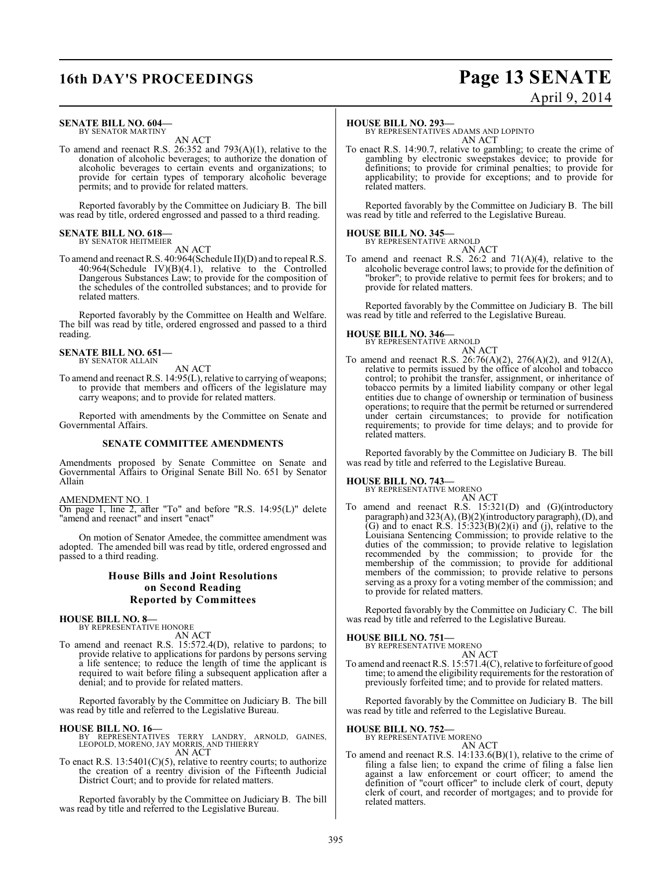# **16th DAY'S PROCEEDINGS Page 13 SENATE**

#### **SENATE BILL NO. 604—** BY SENATOR MARTINY

AN ACT

To amend and reenact R.S. 26:352 and 793(A)(1), relative to the donation of alcoholic beverages; to authorize the donation of alcoholic beverages to certain events and organizations; to provide for certain types of temporary alcoholic beverage permits; and to provide for related matters.

Reported favorably by the Committee on Judiciary B. The bill was read by title, ordered engrossed and passed to a third reading.

#### **SENATE BILL NO. 618—** BY SENATOR HEITMEIER

AN ACT

To amend and reenact R.S. 40:964(Schedule II)(D) and to repeal R.S.  $40:964(Schedule IV)(B)(4.1)$ , relative to the Controlled Dangerous Substances Law; to provide for the composition of the schedules of the controlled substances; and to provide for related matters.

Reported favorably by the Committee on Health and Welfare. The bill was read by title, ordered engrossed and passed to a third reading.

#### **SENATE BILL NO. 651—** BY SENATOR ALLAIN

AN ACT

To amend and reenact R.S. 14:95(L), relative to carrying of weapons; to provide that members and officers of the legislature may carry weapons; and to provide for related matters.

Reported with amendments by the Committee on Senate and Governmental Affairs.

#### **SENATE COMMITTEE AMENDMENTS**

Amendments proposed by Senate Committee on Senate and Governmental Affairs to Original Senate Bill No. 651 by Senator Allain

#### AMENDMENT NO. 1

On page 1, line 2, after "To" and before "R.S. 14:95(L)" delete "amend and reenact" and insert "enact"

On motion of Senator Amedee, the committee amendment was adopted. The amended bill was read by title, ordered engrossed and passed to a third reading.

#### **House Bills and Joint Resolutions on Second Reading Reported by Committees**

## **HOUSE BILL NO. 8—** BY REPRESENTATIVE HONORE

AN ACT

To amend and reenact R.S. 15:572.4(D), relative to pardons; to provide relative to applications for pardons by persons serving a life sentence; to reduce the length of time the applicant is required to wait before filing a subsequent application after a denial; and to provide for related matters.

Reported favorably by the Committee on Judiciary B. The bill was read by title and referred to the Legislative Bureau.

- **HOUSE BILL NO. 16—** BY REPRESENTATIVES TERRY LANDRY, ARNOLD, GAINES, LEOPOLD, MORENO, JAY MORRIS, AND THIERRY AN ACT
- To enact R.S.  $13:5401(C)(5)$ , relative to reentry courts; to authorize the creation of a reentry division of the Fifteenth Judicial District Court; and to provide for related matters.

Reported favorably by the Committee on Judiciary B. The bill was read by title and referred to the Legislative Bureau.

#### **HOUSE BILL NO. 293—**

BY REPRESENTATIVES ADAMS AND LOPINTO AN ACT

To enact R.S. 14:90.7, relative to gambling; to create the crime of gambling by electronic sweepstakes device; to provide for definitions; to provide for criminal penalties; to provide for applicability; to provide for exceptions; and to provide for related matters.

Reported favorably by the Committee on Judiciary B. The bill was read by title and referred to the Legislative Bureau.

### **HOUSE BILL NO. 345—**

BY REPRESENTATIVE ARNOLD AN ACT

To amend and reenact R.S. 26:2 and 71(A)(4), relative to the alcoholic beverage control laws; to provide for the definition of "broker"; to provide relative to permit fees for brokers; and to provide for related matters.

Reported favorably by the Committee on Judiciary B. The bill was read by title and referred to the Legislative Bureau.

# **HOUSE BILL NO. 346—** BY REPRESENTATIVE ARNOLD

AN ACT

To amend and reenact R.S. 26:76(A)(2), 276(A)(2), and 912(A), relative to permits issued by the office of alcohol and tobacco control; to prohibit the transfer, assignment, or inheritance of tobacco permits by a limited liability company or other legal entities due to change of ownership or termination of business operations; to require that the permit be returned or surrendered under certain circumstances; to provide for notification requirements; to provide for time delays; and to provide for related matters.

Reported favorably by the Committee on Judiciary B. The bill was read by title and referred to the Legislative Bureau.

### **HOUSE BILL NO. 743—** BY REPRESENTATIVE MORENO

AN ACT

To amend and reenact R.S. 15:321(D) and (G)(introductory paragraph) and 323(A), (B)(2)(introductory paragraph), (D), and (G) and to enact R.S.  $15:323(B)(2)(i)$  and (j), relative to the Louisiana Sentencing Commission; to provide relative to the duties of the commission; to provide relative to legislation recommended by the commission; to provide for the membership of the commission; to provide for additional members of the commission; to provide relative to persons serving as a proxy for a voting member of the commission; and to provide for related matters.

Reported favorably by the Committee on Judiciary C. The bill was read by title and referred to the Legislative Bureau.

**HOUSE BILL NO. 751—** BY REPRESI

AN ACT

To amend and reenact R.S. 15:571.4(C), relative to forfeiture of good time; to amend the eligibility requirements for the restoration of previously forfeited time; and to provide for related matters.

Reported favorably by the Committee on Judiciary B. The bill was read by title and referred to the Legislative Bureau.

**HOUSE BILL NO. 752—** BY REPRESENTATIVE MORENO

### AN ACT

To amend and reenact R.S. 14:133.6(B)(1), relative to the crime of filing a false lien; to expand the crime of filing a false lien against a law enforcement or court officer; to amend the definition of "court officer" to include clerk of court, deputy clerk of court, and recorder of mortgages; and to provide for related matters.

# April 9, 2014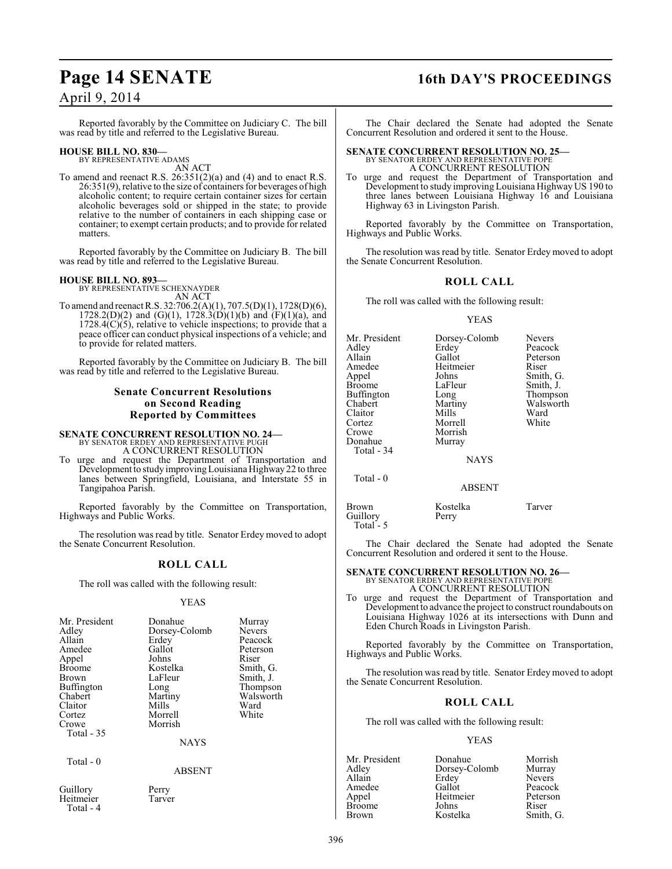### **Page 14 SENATE 16th DAY'S PROCEEDINGS**

### April 9, 2014

Reported favorably by the Committee on Judiciary C. The bill was read by title and referred to the Legislative Bureau.

### **HOUSE BILL NO. 830—** BY REPRESENTATIVE ADAMS

AN ACT

To amend and reenact R.S.  $26:351(2)(a)$  and (4) and to enact R.S. 26:351(9), relative to the size of containers for beverages of high alcoholic content; to require certain container sizes for certain alcoholic beverages sold or shipped in the state; to provide relative to the number of containers in each shipping case or container; to exempt certain products; and to provide for related matters.

Reported favorably by the Committee on Judiciary B. The bill was read by title and referred to the Legislative Bureau.

#### **HOUSE BILL NO. 893—**

BY REPRESENTATIVE SCHEXNAYDER AN ACT

To amend and reenact R.S. 32:706.2(A)(1), 707.5(D)(1), 1728(D)(6),  $1728.2(D)(2)$  and  $(G)(1)$ ,  $1728.3(D)(1)(b)$  and  $(F)(1)(a)$ , and  $1728.4(C)(5)$ , relative to vehicle inspections; to provide that a peace officer can conduct physical inspections of a vehicle; and to provide for related matters.

Reported favorably by the Committee on Judiciary B. The bill was read by title and referred to the Legislative Bureau.

#### **Senate Concurrent Resolutions on Second Reading Reported by Committees**

**SENATE CONCURRENT RESOLUTION NO. 24—** BY SENATOR ERDEY AND REPRESENTATIVE PUGH A CONCURRENT RESOLUTION

To urge and request the Department of Transportation and Development to study improving Louisiana Highway 22 to three lanes between Springfield, Louisiana, and Interstate 55 in Tangipahoa Parish.

Reported favorably by the Committee on Transportation, Highways and Public Works.

The resolution was read by title. Senator Erdey moved to adopt the Senate Concurrent Resolution.

#### **ROLL CALL**

The roll was called with the following result:

#### YEAS

| Mr. President<br>Adley<br>Allain<br>Amedee<br>Appel<br>Broome<br>Brown<br>Buffington<br>Chabert<br>Claitor<br>Cortez<br>Crowe<br>Total $-35$ | Donahue<br>Dorsey-Colomb<br>Erdey<br>Gallot<br>Johns<br>Kostelka<br>LaFleur<br>Long<br>Martiny<br>Mills<br>Morrell<br>Morrish<br><b>NAYS</b> | Murray<br><b>Nevers</b><br>Peacock<br>Peterson<br>Riser<br>Smith, G.<br>Smith, J.<br>Thompson<br>Walsworth<br>Ward<br>White |
|----------------------------------------------------------------------------------------------------------------------------------------------|----------------------------------------------------------------------------------------------------------------------------------------------|-----------------------------------------------------------------------------------------------------------------------------|
| Total $-0$                                                                                                                                   | <b>ABSENT</b>                                                                                                                                |                                                                                                                             |
| Guillory<br>Heitmeier                                                                                                                        | Perry<br>Tarver                                                                                                                              |                                                                                                                             |

Total - 4

The Chair declared the Senate had adopted the Senate Concurrent Resolution and ordered it sent to the House.

### **SENATE CONCURRENT RESOLUTION NO. 25—** BY SENATOR ERDEY AND REPRESENTATIVE POPE

A CONCURRENT RESOLUTION

To urge and request the Department of Transportation and Development to study improving Louisiana Highway US 190 to three lanes between Louisiana Highway 16 and Louisiana Highway 63 in Livingston Parish.

Reported favorably by the Committee on Transportation, Highways and Public Works.

The resolution was read by title. Senator Erdey moved to adopt the Senate Concurrent Resolution.

#### **ROLL CALL**

The roll was called with the following result:

#### YEAS

| Mr. President<br>Adlev<br>Allain<br>Amedee<br>Appel<br>Broome<br>Buffington<br>Chabert<br>Claitor<br>Cortez<br>Crowe<br>Donahue<br>Total - 34 | Dorsey-Colomb<br>Erdey<br>Gallot<br>Heitmeier<br>Johns<br>LaFleur<br>Long<br>Martiny<br>Mills<br>Morrell<br>Morrish<br>Murray<br><b>NAYS</b> | <b>Nevers</b><br>Peacock<br>Peterson<br>Riser<br>Smith, G.<br>Smith, J.<br>Thompson<br>Walsworth<br>Ward<br>White |
|-----------------------------------------------------------------------------------------------------------------------------------------------|----------------------------------------------------------------------------------------------------------------------------------------------|-------------------------------------------------------------------------------------------------------------------|
|                                                                                                                                               |                                                                                                                                              |                                                                                                                   |
| Total - 0                                                                                                                                     | <b>ABSENT</b>                                                                                                                                |                                                                                                                   |

Brown Kostelka Tarver<br>Guillory Perry Guillory Total - 5

The Chair declared the Senate had adopted the Senate Concurrent Resolution and ordered it sent to the House.

### **SENATE CONCURRENT RESOLUTION NO. 26—** BY SENATOR ERDEY AND REPRESENTATIVE POPE A CONCURRENT RESOLUTION

To urge and request the Department of Transportation and Development to advance the project to construct roundabouts on Louisiana Highway 1026 at its intersections with Dunn and Eden Church Roads in Livingston Parish.

Reported favorably by the Committee on Transportation, Highways and Public Works.

The resolution was read by title. Senator Erdey moved to adopt the Senate Concurrent Resolution.

#### **ROLL CALL**

The roll was called with the following result:

| Mr. President | Donahue       | Morrish       |
|---------------|---------------|---------------|
| Adley         | Dorsey-Colomb | Murray        |
| Allain        | Erdey         | <b>Nevers</b> |
| Amedee        | Gallot        | Peacock       |
| Appel         | Heitmeier     | Peterson      |
| <b>Broome</b> | Johns         | Riser         |
| <b>Brown</b>  | Kostelka      | Smith, G.     |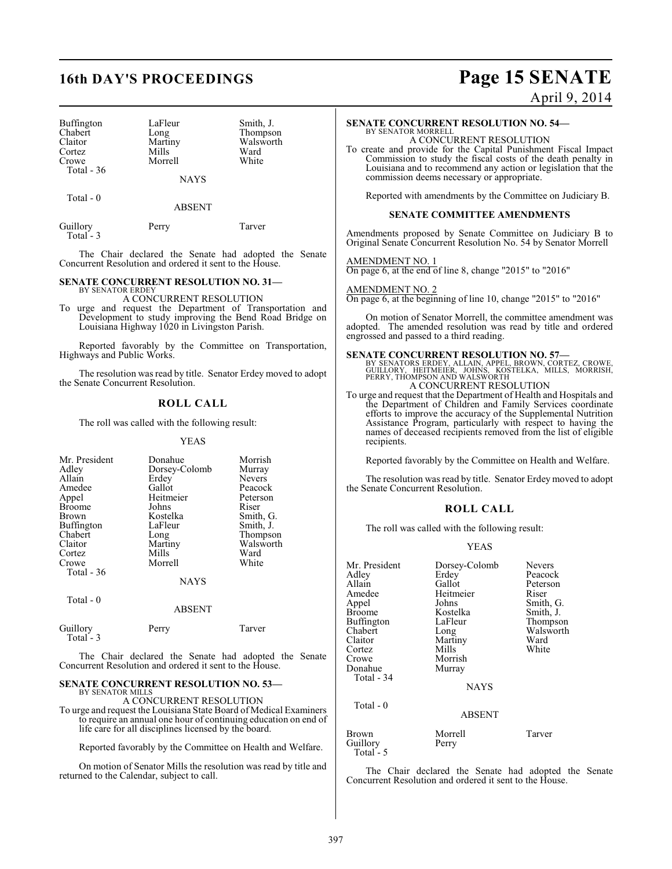| Buffington   | LaFleur     | Smith, J. |
|--------------|-------------|-----------|
| Chabert      | Long        | Thompson  |
| Claitor      | Martiny     | Walsworth |
| Cortez       | Mills       | Ward      |
| Crowe        | Morrell     | White     |
| Total - $36$ |             |           |
|              | <b>NAYS</b> |           |

 $Total - 0$ 

ABSENT

| Guillory   | Perry | Tarver |
|------------|-------|--------|
| Total $-3$ |       |        |

The Chair declared the Senate had adopted the Senate Concurrent Resolution and ordered it sent to the House.

#### **SENATE CONCURRENT RESOLUTION NO. 31—**

BY SENATOR ERDEY A CONCURRENT RESOLUTION

To urge and request the Department of Transportation and Development to study improving the Bend Road Bridge on Louisiana Highway 1020 in Livingston Parish.

Reported favorably by the Committee on Transportation, Highways and Public Works.

The resolution was read by title. Senator Erdey moved to adopt the Senate Concurrent Resolution.

#### **ROLL CALL**

The roll was called with the following result:

#### YEAS

| Mr. President<br>Adley<br>Allain<br>Amedee<br>Appel<br><b>Broome</b><br>Brown<br>Buffington<br>Chabert<br>Claitor<br>Cortez<br>Crowe<br>Total $-36$ | Donahue<br>Dorsey-Colomb<br>Erdey<br>Gallot<br>Heitmeier<br>Johns<br>Kostelka<br>LaFleur<br>Long<br>Martiny<br>Mills<br>Morrell<br><b>NAYS</b> | Morrish<br>Murray<br><b>Nevers</b><br>Peacock<br>Peterson<br>Riser<br>Smith, G.<br>Smith, J.<br>Thompson<br>Walsworth<br>Ward<br>White |
|-----------------------------------------------------------------------------------------------------------------------------------------------------|------------------------------------------------------------------------------------------------------------------------------------------------|----------------------------------------------------------------------------------------------------------------------------------------|
| Total - 0                                                                                                                                           | <b>ABSENT</b>                                                                                                                                  |                                                                                                                                        |
| Guillory                                                                                                                                            | Perry                                                                                                                                          | Tarver                                                                                                                                 |

 Total - 3 The Chair declared the Senate had adopted the Senate

### Concurrent Resolution and ordered it sent to the House. **SENATE CONCURRENT RESOLUTION NO. 53—**

BY SENATOR MILLS

A CONCURRENT RESOLUTION To urge and request the Louisiana State Board of Medical Examiners to require an annual one hour of continuing education on end of life care for all disciplines licensed by the board.

Reported favorably by the Committee on Health and Welfare.

On motion of Senator Mills the resolution was read by title and returned to the Calendar, subject to call.

# **16th DAY'S PROCEEDINGS Page 15 SENATE**

April 9, 2014

#### **SENATE CONCURRENT RESOLUTION NO. 54—** BY SENATOR MORRELL

A CONCURRENT RESOLUTION

To create and provide for the Capital Punishment Fiscal Impact Commission to study the fiscal costs of the death penalty in Louisiana and to recommend any action or legislation that the commission deems necessary or appropriate.

Reported with amendments by the Committee on Judiciary B.

#### **SENATE COMMITTEE AMENDMENTS**

Amendments proposed by Senate Committee on Judiciary B to Original Senate Concurrent Resolution No. 54 by Senator Morrell

AMENDMENT NO. 1 On page 6, at the end of line 8, change "2015" to "2016"

#### AMENDMENT NO. 2

On page 6, at the beginning of line 10, change "2015" to "2016"

On motion of Senator Morrell, the committee amendment was adopted. The amended resolution was read by title and ordered engrossed and passed to a third reading.

**SENATE CONCURRENT RESOLUTION NO. 57—**<br>
BY SENATORS ERDEY, ALLAIN, APPEL, BROWN, CORTEZ, CROWE,<br>
GUILLORY, HEITMEIER, JOHNS, KOSTELKA, MILLS, MORRISH,<br>
PERRY, THOMPSON AND WALSWORTH<br>
A CONCURRENT RESOLUTION

To urge and request that the Department of Health and Hospitals and the Department of Children and Family Services coordinate efforts to improve the accuracy of the Supplemental Nutrition Assistance Program, particularly with respect to having the names of deceased recipients removed from the list of eligible recipients.

Reported favorably by the Committee on Health and Welfare.

The resolution was read by title. Senator Erdey moved to adopt the Senate Concurrent Resolution.

#### **ROLL CALL**

The roll was called with the following result:

#### YEAS

| Mr. President<br>Adley<br>Allain | Dorsey-Colomb<br>Erdey<br>Gallot | <b>Nevers</b><br>Peacock<br>Peterson |
|----------------------------------|----------------------------------|--------------------------------------|
| Amedee                           | Heitmeier<br>Johns               | Riser                                |
| Appel<br>Broome                  | Kostelka                         | Smith, G.<br>Smith, J.               |
| Buffington                       | LaFleur                          | Thompson                             |
| Chabert                          | Long                             | Walsworth                            |
| Claitor                          | Martiny                          | Ward                                 |
| Cortez                           | Mills                            | White                                |
| Crowe                            | Morrish                          |                                      |
| Donahue                          | Murray                           |                                      |
| Total - 34                       |                                  |                                      |
|                                  | <b>NAYS</b>                      |                                      |
| Total $-0$                       |                                  |                                      |
|                                  | <b>ABSENT</b>                    |                                      |
| Brown<br>Guillory                | Morrell<br>Perry                 | Tarver                               |

The Chair declared the Senate had adopted the Senate Concurrent Resolution and ordered it sent to the House.

Total - 5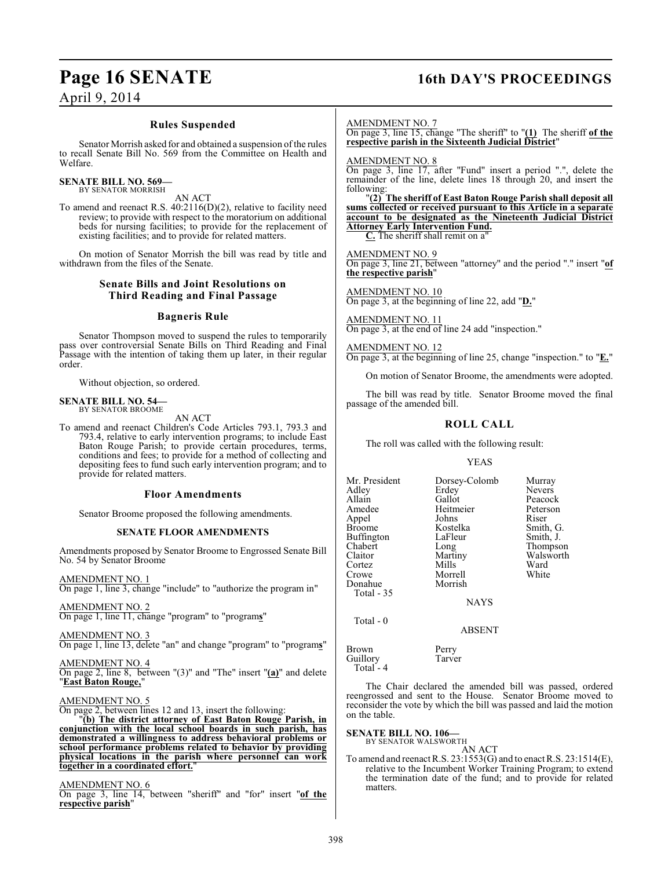### **Page 16 SENATE 16th DAY'S PROCEEDINGS**

### April 9, 2014

#### **Rules Suspended**

Senator Morrish asked for and obtained a suspension of the rules to recall Senate Bill No. 569 from the Committee on Health and Welfare.

#### **SENATE BILL NO. 569—** BY SENATOR MORRISH

AN ACT

To amend and reenact R.S. 40:2116(D)(2), relative to facility need review; to provide with respect to the moratorium on additional beds for nursing facilities; to provide for the replacement of existing facilities; and to provide for related matters.

On motion of Senator Morrish the bill was read by title and withdrawn from the files of the Senate.

#### **Senate Bills and Joint Resolutions on Third Reading and Final Passage**

#### **Bagneris Rule**

Senator Thompson moved to suspend the rules to temporarily pass over controversial Senate Bills on Third Reading and Final Passage with the intention of taking them up later, in their regular order.

Without objection, so ordered.

#### **SENATE BILL NO. 54—** BY SENATOR BROOME

AN ACT

To amend and reenact Children's Code Articles 793.1, 793.3 and 793.4, relative to early intervention programs; to include East Baton Rouge Parish; to provide certain procedures, terms, conditions and fees; to provide for a method of collecting and depositing fees to fund such early intervention program; and to provide for related matters.

#### **Floor Amendments**

Senator Broome proposed the following amendments.

#### **SENATE FLOOR AMENDMENTS**

Amendments proposed by Senator Broome to Engrossed Senate Bill No. 54 by Senator Broome

AMENDMENT NO. 1

On page 1, line 3, change "include" to "authorize the program in"

AMENDMENT NO. 2 On page 1, line 11, change "program" to "program**s**"

AMENDMENT NO. 3

On page 1, line 13, delete "an" and change "program" to "program**s**"

AMENDMENT NO. 4 On page 2, line 8, between "(3)" and "The" insert "**(a)**" and delete "**East Baton Rouge,**"

#### AMENDMENT NO. 5

On page 2, between lines 12 and 13, insert the following:

"**(b) The district attorney of East Baton Rouge Parish, in conjunction with the local school boards in such parish, has demonstrated a willingness to address behavioral problems or school performance problems related to behavior by providing physical locations in the parish where personnel can work together in a coordinated effort.**"

AMENDMENT NO. 6

On page 3, line 14, between "sheriff" and "for" insert "**of the respective parish**"

#### AMENDMENT NO. 7

On page 3, line 15, change "The sheriff" to "**(1)** The sheriff **of the respective parish in the Sixteenth Judicial District**"

AMENDMENT NO. 8

On page 3, line 17, after "Fund" insert a period ".", delete the remainder of the line, delete lines 18 through 20, and insert the following:

"**(2) The sheriff of East Baton Rouge Parish shall deposit all sums collected or received pursuant to this Article in a separate account to be designated as the Nineteenth Judicial District Attorney Early Intervention Fund. C.** The sheriff shall remit on a"

AMENDMENT NO. 9 On page 3, line 21, between "attorney" and the period "." insert "**of the respective parish**"

AMENDMENT NO. 10 On page 3, at the beginning of line 22, add "**D.**"

AMENDMENT NO. 11 On page 3, at the end of line 24 add "inspection."

AMENDMENT NO. 12 On page 3, at the beginning of line 25, change "inspection." to "**E.**"

On motion of Senator Broome, the amendments were adopted.

The bill was read by title. Senator Broome moved the final passage of the amended bill.

#### **ROLL CALL**

The roll was called with the following result:

#### YEAS

Mr. President Dorsey-Colomb Murray<br>Adley Erdey Nevers Adley Erdey Nevers<br>
Allain Gallot Peacock Allain Callot Peacock<br>
Amedee Heitmeier Peterson Heitmeier Peters<br>
Johns Riser Appel Johns<br>Broome Kostelka Kostelka Smith, G.<br>LaFleur Smith, J. Buffington LaFle<br>Chabert Long Chabert Long Thompson<br>Claitor Martiny Walsworth Claitor Martiny Walsworth<br>
Cortez Mills Ward Mills Ward<br>
Morrell White Crowe Morrell<br>
Donahue Morrish Donahue Total - 35 NAYS Total - 0

#### ABSENT

Brown Perry Guillory Tarver Total - 4

The Chair declared the amended bill was passed, ordered reengrossed and sent to the House. Senator Broome moved to reconsider the vote by which the bill was passed and laid the motion on the table.

### **SENATE BILL NO. 106—**

BY SENATOR WALSWORTH AN ACT

To amend and reenact R.S. 23:1553(G) and to enact R.S. 23:1514(E), relative to the Incumbent Worker Training Program; to extend the termination date of the fund; and to provide for related matters.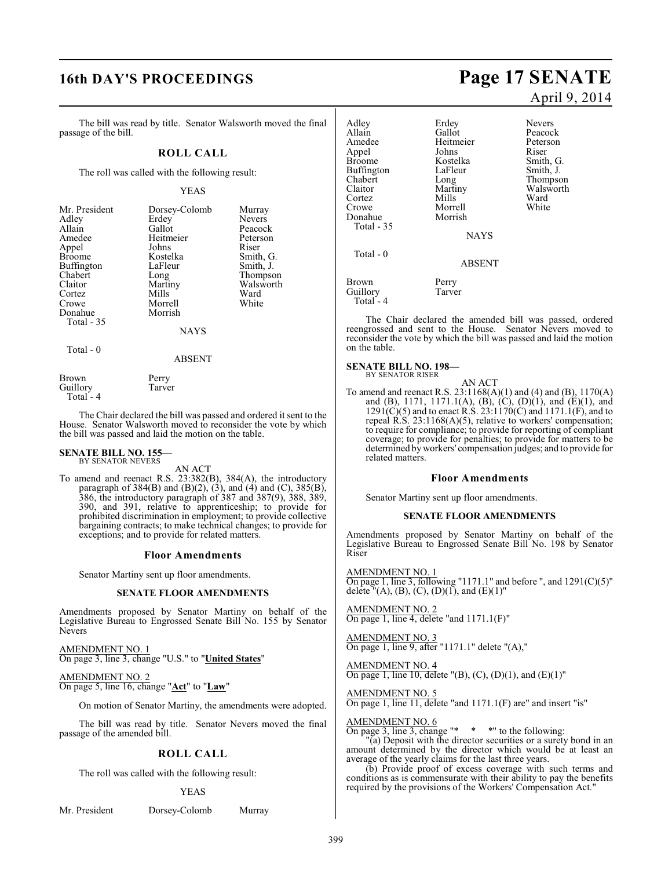## **16th DAY'S PROCEEDINGS Page 17 SENATE**

The bill was read by title. Senator Walsworth moved the final passage of the bill.

#### **ROLL CALL**

The roll was called with the following result:

#### YEAS

| Mr. President<br>Adley<br>Allain<br>Amedee<br>Appel<br><b>Broome</b><br>Buffington<br>Chabert<br>Claitor<br>Cortez<br>Crowe<br>Donahue<br>Total - 35 | Dorsey-Colomb<br>Erdey<br>Gallot<br>Heitmeier<br>Johns<br>Kostelka<br>LaFleur<br>Long<br>Martiny<br>Mills<br>Morrell<br>Morrish<br><b>NAYS</b> | Murray<br><b>Nevers</b><br>Peacock<br>Peterson<br>Riser<br>Smith, G.<br>Smith, J.<br>Thompson<br>Walsworth<br>Ward<br>White |
|------------------------------------------------------------------------------------------------------------------------------------------------------|------------------------------------------------------------------------------------------------------------------------------------------------|-----------------------------------------------------------------------------------------------------------------------------|
|                                                                                                                                                      |                                                                                                                                                |                                                                                                                             |

Total - 0

ABSENT

Brown Perry<br>Guillory Tarver Guillory Total - 4

The Chair declared the bill was passed and ordered it sent to the House. Senator Walsworth moved to reconsider the vote by which the bill was passed and laid the motion on the table.

# **SENATE BILL NO. 155—** BY SENATOR NEVERS

AN ACT

To amend and reenact R.S. 23:382(B), 384(A), the introductory paragraph of  $384(B)$  and  $(B)(2)$ ,  $(3)$ , and  $(4)$  and  $(C)$ ,  $385(B)$ , 386, the introductory paragraph of 387 and 387(9), 388, 389, 390, and 391, relative to apprenticeship; to provide for prohibited discrimination in employment; to provide collective bargaining contracts; to make technical changes; to provide for exceptions; and to provide for related matters.

#### **Floor Amendments**

Senator Martiny sent up floor amendments.

#### **SENATE FLOOR AMENDMENTS**

Amendments proposed by Senator Martiny on behalf of the Legislative Bureau to Engrossed Senate Bill No. 155 by Senator Nevers

AMENDMENT NO. 1 On page 3, line 3, change "U.S." to "**United States**"

AMENDMENT NO. 2 On page 5, line 16, change "**Act**" to "**Law**"

On motion of Senator Martiny, the amendments were adopted.

The bill was read by title. Senator Nevers moved the final passage of the amended bill.

### **ROLL CALL**

The roll was called with the following result:

#### YEAS

Mr. President Dorsey-Colomb Murray

# April 9, 2014

Adley Erdey Nevers Allain Callot Gallot Peacock<br>Amedee Heitmeier Peterson Heitmeier Peters<br>Johns Riser Appel Johns<br>Broome Kostelka Kostelka Smith, G.<br>LaFleur Smith, J. Buffington LaFle<br>Chabert Long Chabert Long Thompson<br>Claitor Martiny Walsworth Martiny Walsworth<br>
Mills Ward Cortez Mills Ward<br>Crowe Morrell White Morrell<br>Morrish Donahue Total - 35 **NAYS**  Total - 0 ABSENT Brown Perry<br>Guillory Tarver Guillory Total - 4

The Chair declared the amended bill was passed, ordered reengrossed and sent to the House. Senator Nevers moved to reconsider the vote by which the bill was passed and laid the motion on the table.

### **SENATE BILL NO. 198—** BY SENATOR RISER

AN ACT

To amend and reenact R.S. 23:1168(A)(1) and (4) and (B), 1170(A) and (B), 1171, 1171.1(A), (B), (C), (D)(1), and (E)(1), and  $1291(\text{C})(5)$  and to enact R.S.  $23:1170(\text{C})$  and  $1171.1(\text{F})$ , and to repeal R.S. 23:1168(A)(5), relative to workers' compensation; to require for compliance; to provide for reporting of compliant coverage; to provide for penalties; to provide for matters to be determined by workers' compensation judges; and to provide for related matters.

#### **Floor Amendments**

Senator Martiny sent up floor amendments.

#### **SENATE FLOOR AMENDMENTS**

Amendments proposed by Senator Martiny on behalf of the Legislative Bureau to Engrossed Senate Bill No. 198 by Senator Riser

AMENDMENT NO. 1 On page 1, line 3, following "1171.1" and before ", and  $1291(C)(5)$ " delete  $\sqrt[n]{(A)}$ , (B), (C), (D)(1), and (E)(1)"

AMENDMENT NO. 2 On page 1, line 4, delete "and 1171.1(F)"

AMENDMENT NO. 3 On page 1, line 9, after "1171.1" delete "(A),"

AMENDMENT NO. 4 On page 1, line 10, delete  $"({\rm B})$ , (C), (D)(1), and (E)(1)"

AMENDMENT NO. 5 On page 1, line 11, delete "and 1171.1(F) are" and insert "is"

AMENDMENT NO. 6

On page 3, line 3, change "\* \* \*" to the following: "(a) Deposit with the director securities or a surety bond in an

amount determined by the director which would be at least an average of the yearly claims for the last three years. (b) Provide proof of excess coverage with such terms and

conditions as is commensurate with their ability to pay the benefits required by the provisions of the Workers' Compensation Act."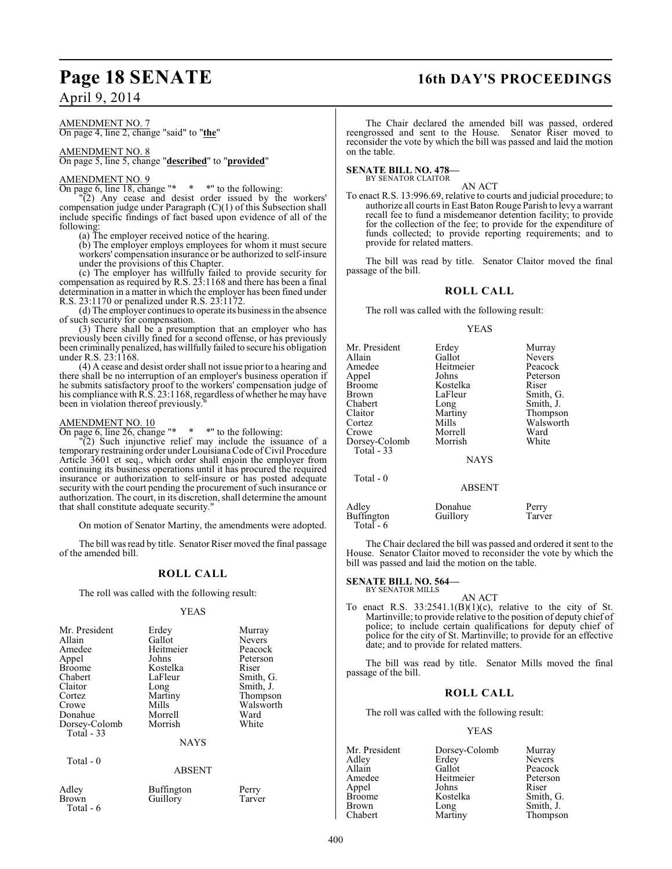### April 9, 2014

#### AMENDMENT NO. 7 On page 4, line 2, change "said" to "**the**"

#### AMENDMENT NO. 8 On page 5, line 5, change "**described**" to "**provided**"

#### AMENDMENT NO. 9

On page 6, line 18, change "\* \* \*" to the following:

"(2) Any cease and desist order issued by the workers' compensation judge under Paragraph (C)(1) of this Subsection shall include specific findings of fact based upon evidence of all of the following:

(a) The employer received notice of the hearing.

(b) The employer employs employees for whom it must secure workers' compensation insurance or be authorized to self-insure under the provisions of this Chapter.

(c) The employer has willfully failed to provide security for compensation as required by R.S. 23:1168 and there has been a final determination in a matter in which the employer has been fined under R.S. 23:1170 or penalized under R.S. 23:1172.

(d) The employer continues to operate its business in the absence of such security for compensation.

(3) There shall be a presumption that an employer who has previously been civilly fined for a second offense, or has previously been criminally penalized, haswillfully failed to secure his obligation under R.S. 23:1168.

(4) A cease and desist order shall not issue priorto a hearing and there shall be no interruption of an employer's business operation if he submits satisfactory proof to the workers' compensation judge of his compliance with R.S. 23:1168, regardless of whether he may have been in violation thereof previously.

#### AMENDMENT NO. 10

On page 6, line 26, change  $"$  \* \*" to the following:

"(2) Such injunctive relief may include the issuance of a temporary restraining order underLouisiana Code of Civil Procedure Article 3601 et seq., which order shall enjoin the employer from continuing its business operations until it has procured the required insurance or authorization to self-insure or has posted adequate security with the court pending the procurement of such insurance or authorization. The court, in its discretion, shall determine the amount that shall constitute adequate security."

On motion of Senator Martiny, the amendments were adopted.

The bill was read by title. Senator Riser moved the final passage of the amended bill.

### **ROLL CALL**

The roll was called with the following result:

#### YEAS

| Mr. President<br>Allain<br>Amedee<br>Appel<br><b>Broome</b><br>Chabert<br>Claitor<br>Cortez | Erdey<br>Gallot<br>Heitmeier<br>Johns<br>Kostelka<br>LaFleur<br>Long<br>Martiny | Murray<br><b>Nevers</b><br>Peacock<br>Peterson<br>Riser<br>Smith, G.<br>Smith, J.<br>Thompson |
|---------------------------------------------------------------------------------------------|---------------------------------------------------------------------------------|-----------------------------------------------------------------------------------------------|
| Crowe<br>Donahue                                                                            | Mills<br>Morrell                                                                | Walsworth<br>Ward                                                                             |
| Dorsey-Colomb<br>Total - 33                                                                 | Morrish                                                                         | White                                                                                         |
|                                                                                             | <b>NAYS</b>                                                                     |                                                                                               |
| Total $-0$                                                                                  | <b>ABSENT</b>                                                                   |                                                                                               |
| Adley                                                                                       | <b>Buffington</b>                                                               | Perry                                                                                         |

Total - 6

Brown Guillory Tarver

## **Page 18 SENATE 16th DAY'S PROCEEDINGS**

The Chair declared the amended bill was passed, ordered reengrossed and sent to the House. Senator Riser moved to reconsider the vote by which the bill was passed and laid the motion on the table.

#### **SENATE BILL NO. 478—** BY SENATOR CLAITOR

AN ACT

To enact R.S. 13:996.69, relative to courts and judicial procedure; to authorize all courts in East Baton Rouge Parish to levy a warrant recall fee to fund a misdemeanor detention facility; to provide for the collection of the fee; to provide for the expenditure of funds collected; to provide reporting requirements; and to provide for related matters.

The bill was read by title. Senator Claitor moved the final passage of the bill.

#### **ROLL CALL**

The roll was called with the following result:

#### YEAS

| Mr. President<br>Allain<br>Amedee<br>Appel<br>Broome<br>Brown<br>Chabert<br>Claitor<br>Cortez<br>Crowe<br>Dorsey-Colomb<br>Total - 33 | Erdey<br>Gallot<br>Heitmeier<br>Johns<br>Kostelka<br>LaFleur<br>Long<br>Martiny<br>Mills<br>Morrell<br>Morrish<br><b>NAYS</b> | Murray<br><b>Nevers</b><br>Peacock<br>Peterson<br>Riser<br>Smith, G.<br>Smith, J.<br>Thompson<br>Walsworth<br>Ward<br>White |
|---------------------------------------------------------------------------------------------------------------------------------------|-------------------------------------------------------------------------------------------------------------------------------|-----------------------------------------------------------------------------------------------------------------------------|
| Total $-0$                                                                                                                            | <b>ABSENT</b>                                                                                                                 |                                                                                                                             |

Adley Donahue Perry<br>
Buffington Guillory Tarver Buffington Total - 6

The Chair declared the bill was passed and ordered it sent to the House. Senator Claitor moved to reconsider the vote by which the bill was passed and laid the motion on the table.

#### **SENATE BILL NO. 564—**

BY SENATOR MILLS

AN ACT To enact R.S.  $33:2541.1(B)(1)(c)$ , relative to the city of St. Martinville; to provide relative to the position of deputy chief of police; to include certain qualifications for deputy chief of police for the city of St. Martinville; to provide for an effective date; and to provide for related matters.

The bill was read by title. Senator Mills moved the final passage of the bill.

### **ROLL CALL**

The roll was called with the following result:

|           | Murray                           |
|-----------|----------------------------------|
| Erdey     | <b>Nevers</b>                    |
| Gallot    | Peacock                          |
| Heitmeier | Peterson                         |
| Johns     | Riser                            |
| Kostelka  | Smith, G.                        |
|           | Smith, J.                        |
|           | Thompson                         |
|           | Dorsey-Colomb<br>Long<br>Martiny |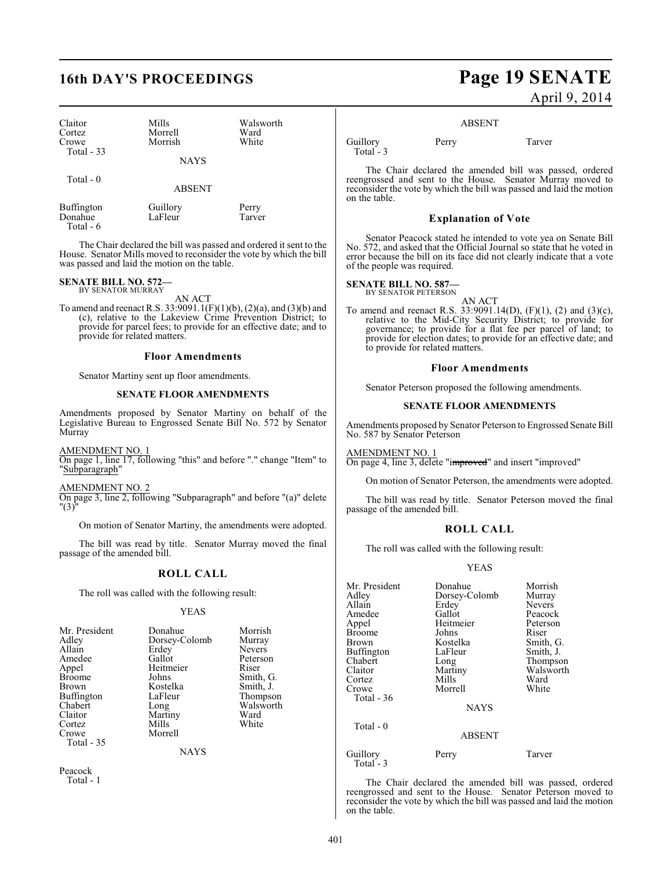# **16th DAY'S PROCEEDINGS Page 19 SENATE**

| Claitor<br>Cortez<br>Crowe<br>Total - 33 | Mills<br>Morrell<br>Morrish<br><b>NAYS</b> | Walsworth<br>Ward<br>White |
|------------------------------------------|--------------------------------------------|----------------------------|
| Total $-0$                               | <b>ABSENT</b>                              |                            |
| Buffington<br>Donahue                    | Guillory<br>LaFleur                        | Perry<br>Tarver            |

The Chair declared the bill was passed and ordered it sent to the House. Senator Mills moved to reconsider the vote by which the bill was passed and laid the motion on the table.

## **SENATE BILL NO. 572—** BY SENATOR MURRAY

Donahue Total - 6

AN ACT

To amend and reenact R.S. 33:9091.1(F)(1)(b), (2)(a), and (3)(b) and (c), relative to the Lakeview Crime Prevention District; to provide for parcel fees; to provide for an effective date; and to provide for related matters.

#### **Floor Amendments**

Senator Martiny sent up floor amendments.

#### **SENATE FLOOR AMENDMENTS**

Amendments proposed by Senator Martiny on behalf of the Legislative Bureau to Engrossed Senate Bill No. 572 by Senator Murray

AMENDMENT NO. 1

On page 1, line 17, following "this" and before "." change "Item" to "Subparagraph"

AMENDMENT NO. 2

On page 3, line 2, following "Subparagraph" and before "(a)" delete "(3)"

On motion of Senator Martiny, the amendments were adopted.

The bill was read by title. Senator Murray moved the final passage of the amended bill.

#### **ROLL CALL**

The roll was called with the following result:

#### YEAS

| Mr. President<br>Adley<br>Allain<br>Amedee<br>Appel<br><b>Broome</b><br>Brown<br>Buffington<br>Chabert<br>Claitor<br>Cortez<br>Crowe | Dorsey-Colomb<br>Erdey<br>Gallot<br>Heitmeier<br>Johns<br>Kostelka<br>LaFleur<br>Long<br>Martiny<br>Mills<br>Morrell | Murray<br><b>Nevers</b><br>Peterson<br>Riser<br>Smith, G.<br>Smith, J.<br>Thompson<br>Walsworth<br>Ward<br>White |
|--------------------------------------------------------------------------------------------------------------------------------------|----------------------------------------------------------------------------------------------------------------------|------------------------------------------------------------------------------------------------------------------|
| Total - 35                                                                                                                           |                                                                                                                      |                                                                                                                  |

**NAYS** 

Peacock Total - 1

# April 9, 2014

#### ABSENT

Guillory Perry Tarver Total - 3

The Chair declared the amended bill was passed, ordered reengrossed and sent to the House. Senator Murray moved to reconsider the vote by which the bill was passed and laid the motion on the table.

#### **Explanation of Vote**

Senator Peacock stated he intended to vote yea on Senate Bill No. 572, and asked that the Official Journal so state that he voted in error because the bill on its face did not clearly indicate that a vote of the people was required.

### **SENATE BILL NO. 587—**<br>BY SENATOR PETERSON

AN ACT To amend and reenact R.S.  $33:9091.14(D)$ , (F)(1), (2) and (3)(c), relative to the Mid-City Security District; to provide for governance; to provide for a flat fee per parcel of land; to provide for election dates; to provide for an effective date; and to provide for related matters.

#### **Floor Amendments**

Senator Peterson proposed the following amendments.

#### **SENATE FLOOR AMENDMENTS**

Amendments proposed by Senator Peterson to Engrossed Senate Bill No. 587 by Senator Peterson

AMENDMENT NO. 1

On page 4, line 3, delete "improved" and insert "improved"

On motion of Senator Peterson, the amendments were adopted.

The bill was read by title. Senator Peterson moved the final passage of the amended bill.

#### **ROLL CALL**

The roll was called with the following result:

#### YEAS

| Mr. President         | Donahue       | Morrish       |
|-----------------------|---------------|---------------|
| Adlev                 | Dorsey-Colomb | Murray        |
| Allain                | Erdey         | <b>Nevers</b> |
| Amedee                | Gallot        | Peacock       |
| Appel                 | Heitmeier     | Peterson      |
| Broome                | Johns         | Riser         |
| Brown                 | Kostelka      | Smith, G.     |
| Buffington            | LaFleur       | Smith, J.     |
| Chabert               | Long          | Thompson      |
| Claitor               | Martiny       | Walsworth     |
| Cortez                | Mills         | Ward          |
| Crowe                 | Morrell       | White         |
| Total - 36            |               |               |
|                       | <b>NAYS</b>   |               |
| Total - 0             |               |               |
|                       | <b>ABSENT</b> |               |
| Guillory<br>Total - 3 | Perry         | Tarver        |

The Chair declared the amended bill was passed, ordered reengrossed and sent to the House. Senator Peterson moved to reconsider the vote by which the bill was passed and laid the motion on the table.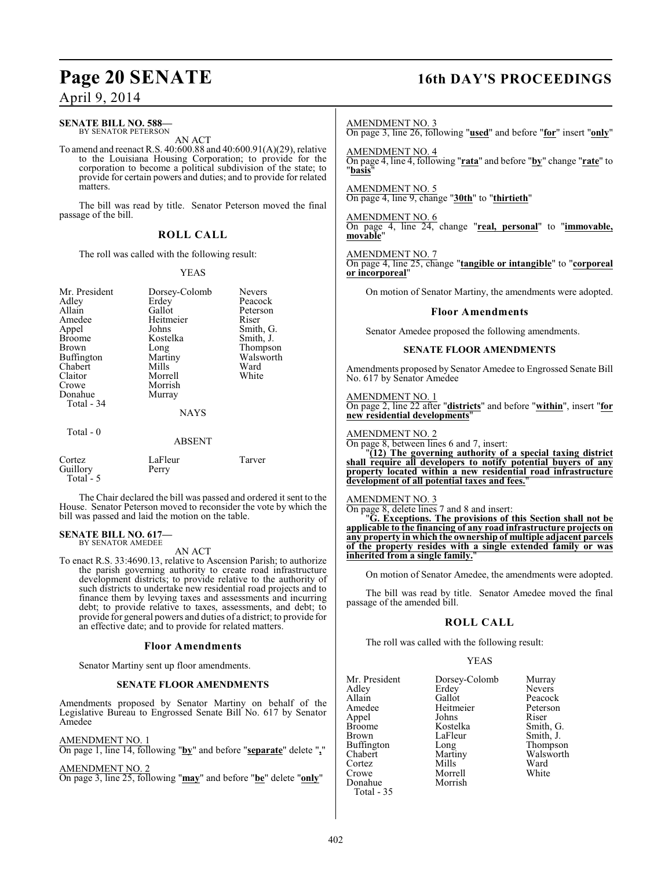# **Page 20 SENATE 16th DAY'S PROCEEDINGS**

### April 9, 2014

### **SENATE BILL NO. 588—**

BY SENATOR PETERSON AN ACT

To amend and reenact R.S. 40:600.88 and 40:600.91(A)(29), relative to the Louisiana Housing Corporation; to provide for the corporation to become a political subdivision of the state; to provide for certain powers and duties; and to provide for related matters.

The bill was read by title. Senator Peterson moved the final passage of the bill.

### **ROLL CALL**

The roll was called with the following result:

#### YEAS

| Mr. President<br>Adley<br>Allain<br>Amedee<br>Appel<br>Broome<br>Brown<br>Buffington<br>Chabert<br>Claitor<br>Crowe<br>Donahue<br>Total - 34<br>Total - 0 | Dorsey-Colomb<br>Erdey<br>Gallot<br>Heitmeier<br>Johns<br>Kostelka<br>Long<br>Martiny<br>Mills<br>Morrell<br>Morrish<br>Murray<br><b>NAYS</b> | <b>Nevers</b><br>Peacock<br>Peterson<br>Riser<br>Smith, G.<br>Smith, J.<br>Thompson<br>Walsworth<br>Ward<br>White |
|-----------------------------------------------------------------------------------------------------------------------------------------------------------|-----------------------------------------------------------------------------------------------------------------------------------------------|-------------------------------------------------------------------------------------------------------------------|
|                                                                                                                                                           | <b>ABSENT</b>                                                                                                                                 |                                                                                                                   |
| Cortez<br>Guillory<br>Total - 5                                                                                                                           | LaFleur<br>Perry                                                                                                                              | Tarver                                                                                                            |

The Chair declared the bill was passed and ordered it sent to the House. Senator Peterson moved to reconsider the vote by which the bill was passed and laid the motion on the table.

#### **SENATE BILL NO. 617—** BY SENATOR AMEDEE

#### AN ACT

To enact R.S. 33:4690.13, relative to Ascension Parish; to authorize the parish governing authority to create road infrastructure development districts; to provide relative to the authority of such districts to undertake new residential road projects and to finance them by levying taxes and assessments and incurring debt; to provide relative to taxes, assessments, and debt; to provide for general powers and duties of a district; to provide for an effective date; and to provide for related matters.

#### **Floor Amendments**

Senator Martiny sent up floor amendments.

#### **SENATE FLOOR AMENDMENTS**

Amendments proposed by Senator Martiny on behalf of the Legislative Bureau to Engrossed Senate Bill No. 617 by Senator Amedee

#### AMENDMENT NO. 1

On page 1, line 14, following "**by**" and before "**separate**" delete "**,**"

#### AMENDMENT NO. 2

On page 3, line 25, following "**may**" and before "**be**" delete "**only**"

#### AMENDMENT NO. 3

On page 3, line 26, following "**used**" and before "**for**" insert "**only**"

AMENDMENT NO. 4 On page 4, line 4, following "**rata**" and before "**by**" change "**rate**" to "**basis**"

AMENDMENT NO. 5 On page 4, line 9, change "**30th**" to "**thirtieth**"

AMENDMENT NO. 6 On page 4, line 24, change "**real, personal**" to "**immovable, movable**"

AMENDMENT NO. 7 On page 4, line 25, change "**tangible or intangible**" to "**corporeal or incorporeal**"

On motion of Senator Martiny, the amendments were adopted.

#### **Floor Amendments**

Senator Amedee proposed the following amendments.

#### **SENATE FLOOR AMENDMENTS**

Amendments proposed by Senator Amedee to Engrossed Senate Bill No. 617 by Senator Amedee

AMENDMENT NO. 1 On page 2, line 22 after "**districts**" and before "**within**", insert "**for new residential developments**"

AMENDMENT NO. 2

On page 8, between lines 6 and 7, insert:

"**(12) The governing authority of a special taxing district shall require all developers to notify potential buyers of any property located within a new residential road infrastructure development of all potential taxes and fees.**"

#### AMENDMENT NO. 3

On page 8, delete lines 7 and 8 and insert:

"**G. Exceptions. The provisions of this Section shall not be applicable to the financing of any road infrastructure projects on any property in which the ownership of multiple adjacent parcels of the property resides with a single extended family or was inherited from a single family.**"

On motion of Senator Amedee, the amendments were adopted.

The bill was read by title. Senator Amedee moved the final passage of the amended bill.

#### **ROLL CALL**

The roll was called with the following result:

| Mr. President | Dorsey-Colomb | Murray        |
|---------------|---------------|---------------|
| Adley         | Erdey         | <b>Nevers</b> |
| Allain        | Gallot        | Peacock       |
| Amedee        | Heitmeier     | Peterson      |
| Appel         | Johns         | Riser         |
| Broome        | Kostelka      | Smith, G.     |
| Brown         | LaFleur       | Smith, J.     |
| Buffington    | Long          | Thompson      |
| Chabert       | Martiny       | Walsworth     |
| Cortez        | Mills         | Ward          |
| Crowe         | Morrell       | White         |
| Donahue       | Morrish       |               |
| Total - 35    |               |               |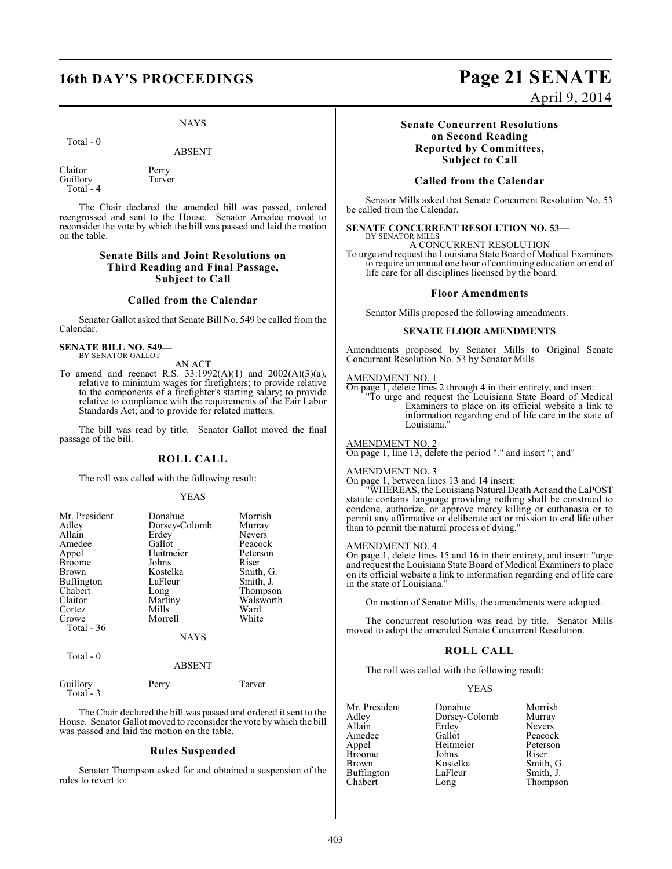#### NAYS

Total - 0

ABSENT

Claitor Perry<br>Guillory Tarver Guillory Total - 4

The Chair declared the amended bill was passed, ordered reengrossed and sent to the House. Senator Amedee moved to reconsider the vote by which the bill was passed and laid the motion on the table.

#### **Senate Bills and Joint Resolutions on Third Reading and Final Passage, Subject to Call**

#### **Called from the Calendar**

Senator Gallot asked that Senate Bill No. 549 be called from the Calendar.

**SENATE BILL NO. 549—** BY SENATOR GALLOT

AN ACT

To amend and reenact R.S. 33:1992(A)(1) and 2002(A)(3)(a), relative to minimum wages for firefighters; to provide relative to the components of a firefighter's starting salary; to provide relative to compliance with the requirements of the Fair Labor Standards Act; and to provide for related matters.

The bill was read by title. Senator Gallot moved the final passage of the bill.

#### **ROLL CALL**

The roll was called with the following result:

#### YEAS

| Mr. President     | Donahue       | Morrish       |
|-------------------|---------------|---------------|
| Adley             | Dorsey-Colomb | Murray        |
| Allain            | Erdey         | <b>Nevers</b> |
| Amedee            | Gallot        | Peacock       |
| Appel             | Heitmeier     | Peterson      |
| <b>Broome</b>     | Johns         | Riser         |
| Brown             | Kostelka      | Smith, G.     |
| <b>Buffington</b> | LaFleur       | Smith, J.     |
| Chabert           | Long          | Thompson      |
| Claitor           | Martiny       | Walsworth     |
| Cortez            | Mills         | Ward          |
| Crowe             | Morrell       | White         |
| Total $-36$       |               |               |
|                   | <b>NAYS</b>   |               |
| Total - 0         |               |               |
|                   | ABSENT        |               |

Guillory Perry Tarver

Total - 3

The Chair declared the bill was passed and ordered it sent to the House. Senator Gallot moved to reconsider the vote by which the bill was passed and laid the motion on the table.

#### **Rules Suspended**

Senator Thompson asked for and obtained a suspension of the rules to revert to:

## **16th DAY'S PROCEEDINGS Page 21 SENATE** April 9, 2014

**Senate Concurrent Resolutions on Second Reading Reported by Committees, Subject to Call**

#### **Called from the Calendar**

Senator Mills asked that Senate Concurrent Resolution No. 53 be called from the Calendar.

#### **SENATE CONCURRENT RESOLUTION NO. 53—** BY SENATOR MILLS

A CONCURRENT RESOLUTION

To urge and request the Louisiana State Board of Medical Examiners to require an annual one hour of continuing education on end of life care for all disciplines licensed by the board.

#### **Floor Amendments**

Senator Mills proposed the following amendments.

#### **SENATE FLOOR AMENDMENTS**

Amendments proposed by Senator Mills to Original Senate Concurrent Resolution No. 53 by Senator Mills

#### AMENDMENT NO. 1

On page 1, delete lines 2 through 4 in their entirety, and insert: "To urge and request the Louisiana State Board of Medical Examiners to place on its official website a link to information regarding end of life care in the state of Louisiana."

#### AMENDMENT NO. 2

On page 1, line 13, delete the period "." and insert "; and"

#### AMENDMENT NO. 3

On page 1, between lines 13 and 14 insert:

"WHEREAS, the Louisiana Natural Death Act and the LaPOST statute contains language providing nothing shall be construed to condone, authorize, or approve mercy killing or euthanasia or to permit any affirmative or deliberate act or mission to end life other than to permit the natural process of dying."

#### AMENDMENT NO. 4

On page 1, delete lines 15 and 16 in their entirety, and insert: "urge and request the Louisiana State Board of Medical Examiners to place on its official website a link to information regarding end of life care in the state of Louisiana."

On motion of Senator Mills, the amendments were adopted.

The concurrent resolution was read by title. Senator Mills moved to adopt the amended Senate Concurrent Resolution.

#### **ROLL CALL**

The roll was called with the following result:

| Donahue       | Morrish       |
|---------------|---------------|
| Dorsey-Colomb | Murray        |
| Erdey         | <b>Nevers</b> |
| Gallot        | Peacock       |
| Heitmeier     | Peterson      |
| Johns         | Riser         |
| Kostelka      | Smith, G.     |
| LaFleur       | Smith, J.     |
| Long          | Thompson      |
|               |               |